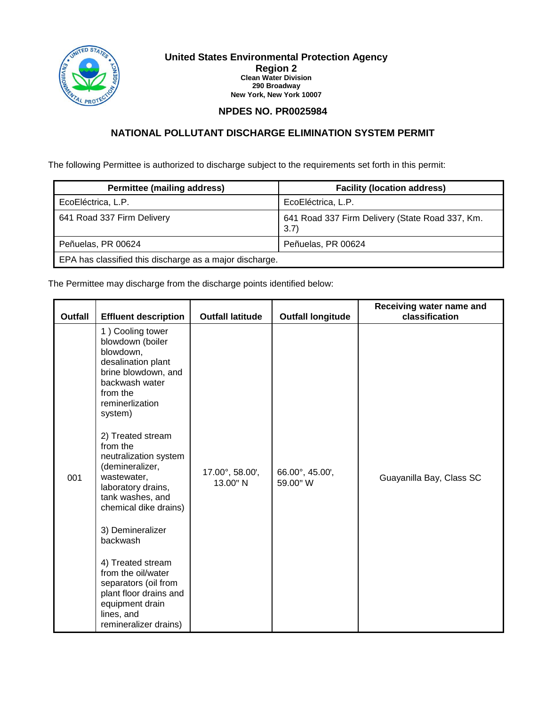

#### **United States Environmental Protection Agency Region 2 Clean Water Division 290 Broadway New York, New York 10007**

## **NPDES NO. PR0025984**

# **NATIONAL POLLUTANT DISCHARGE ELIMINATION SYSTEM PERMIT**

The following Permittee is authorized to discharge subject to the requirements set forth in this permit:

| <b>Permittee (mailing address)</b>                      | <b>Facility (location address)</b>                      |
|---------------------------------------------------------|---------------------------------------------------------|
| EcoEléctrica, L.P.                                      | EcoEléctrica, L.P.                                      |
| 641 Road 337 Firm Delivery                              | 641 Road 337 Firm Delivery (State Road 337, Km.<br>3.7) |
| Peñuelas, PR 00624                                      | Peñuelas, PR 00624                                      |
| EPA has classified this discharge as a major discharge. |                                                         |

The Permittee may discharge from the discharge points identified below:

| <b>Outfall</b> | <b>Effluent description</b>                                                                                                                                 | <b>Outfall latitude</b>     | <b>Outfall longitude</b>    | Receiving water name and<br>classification |
|----------------|-------------------------------------------------------------------------------------------------------------------------------------------------------------|-----------------------------|-----------------------------|--------------------------------------------|
|                | 1) Cooling tower<br>blowdown (boiler<br>blowdown,<br>desalination plant<br>brine blowdown, and<br>backwash water<br>from the<br>reminerlization<br>system)  |                             |                             |                                            |
| 001            | 2) Treated stream<br>from the<br>neutralization system<br>(demineralizer,<br>wastewater,<br>laboratory drains,<br>tank washes, and<br>chemical dike drains) | 17.00°, 58.00',<br>13.00" N | 66.00°, 45.00',<br>59.00" W | Guayanilla Bay, Class SC                   |
|                | 3) Demineralizer<br>backwash                                                                                                                                |                             |                             |                                            |
|                | 4) Treated stream<br>from the oil/water<br>separators (oil from<br>plant floor drains and<br>equipment drain<br>lines, and<br>remineralizer drains)         |                             |                             |                                            |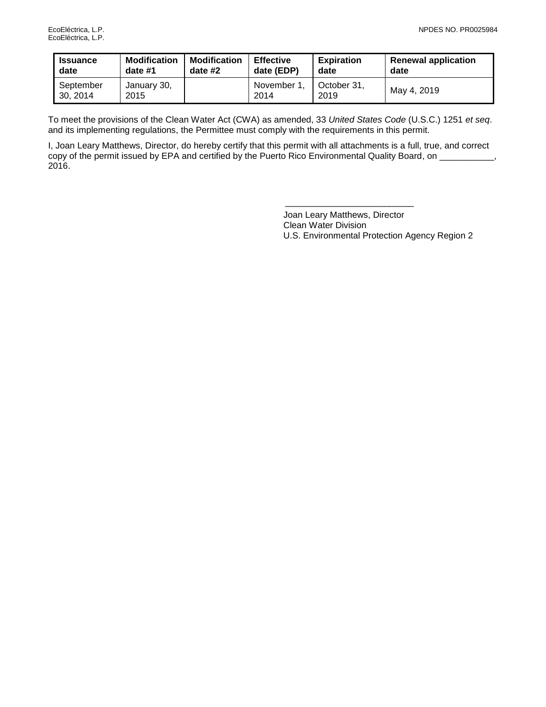| <b>Issuance</b>       | <b>Modification</b> | <b>Modification</b> | <b>Effective</b>   | <b>Expiration</b>   | <b>Renewal application</b> |
|-----------------------|---------------------|---------------------|--------------------|---------------------|----------------------------|
| date                  | date #1             | date $#2$           | date (EDP)         | date                | date                       |
| September<br>30, 2014 | January 30,<br>2015 |                     | November 1<br>2014 | October 31.<br>2019 | May 4, 2019                |

To meet the provisions of the Clean Water Act (CWA) as amended, 33 *United States Code* (U.S.C.) 1251 *et seq*. and its implementing regulations, the Permittee must comply with the requirements in this permit.

I, Joan Leary Matthews, Director, do hereby certify that this permit with all attachments is a full, true, and correct copy of the permit issued by EPA and certified by the Puerto Rico Environmental Quality Board, on \_\_\_\_\_\_\_\_\_\_\_, 2016.

> Joan Leary Matthews, Director Clean Water Division U.S. Environmental Protection Agency Region 2

\_\_\_\_\_\_\_\_\_\_\_\_\_\_\_\_\_\_\_\_\_\_\_\_\_\_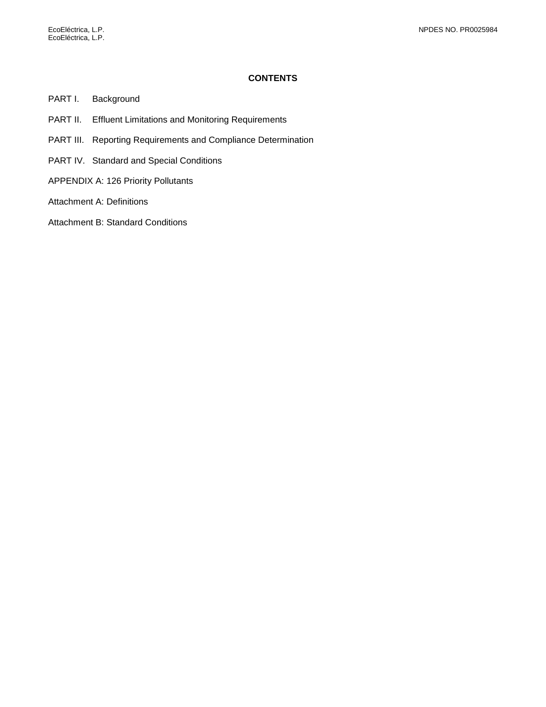### **CONTENTS**

- PART I. [Background](#page-3-0)
- PART II. [Effluent Limitations and Monitoring Requirements](#page-4-0)
- PART III. [Reporting Requirements and Compliance Determination](#page-8-0)
- PART IV. [Standard and Special Conditions](#page-9-0)
- [APPENDIX A: 126 Priority Pollutants](#page-17-0)
- [Attachment A: Definitions](#page-18-0)
- [Attachment B: Standard Conditions](#page-21-0)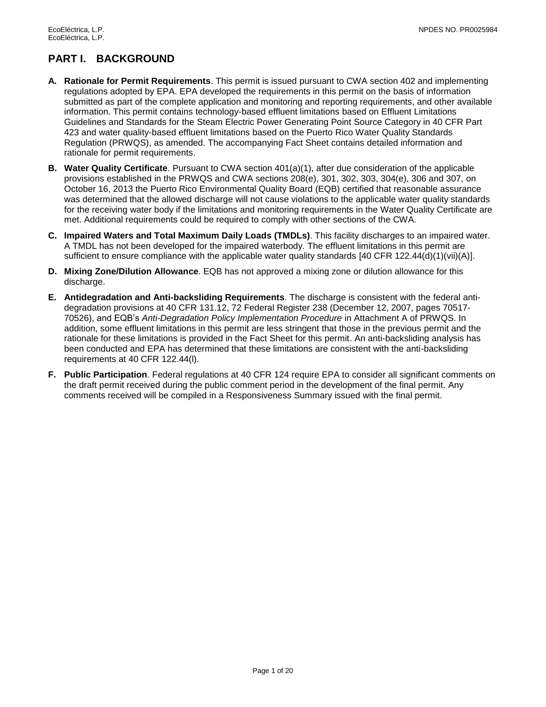# <span id="page-3-0"></span>**PART I. BACKGROUND**

- **A. Rationale for Permit Requirements**. This permit is issued pursuant to CWA section 402 and implementing regulations adopted by EPA. EPA developed the requirements in this permit on the basis of information submitted as part of the complete application and monitoring and reporting requirements, and other available information. This permit contains technology-based effluent limitations based on Effluent Limitations Guidelines and Standards for the Steam Electric Power Generating Point Source Category in 40 CFR Part 423 and water quality-based effluent limitations based on the Puerto Rico Water Quality Standards Regulation (PRWQS), as amended. The accompanying Fact Sheet contains detailed information and rationale for permit requirements.
- **B. Water Quality Certificate**. Pursuant to CWA section 401(a)(1), after due consideration of the applicable provisions established in the PRWQS and CWA sections 208(e), 301, 302, 303, 304(e), 306 and 307, on October 16, 2013 the Puerto Rico Environmental Quality Board (EQB) certified that reasonable assurance was determined that the allowed discharge will not cause violations to the applicable water quality standards for the receiving water body if the limitations and monitoring requirements in the Water Quality Certificate are met. Additional requirements could be required to comply with other sections of the CWA.
- **C. Impaired Waters and Total Maximum Daily Loads (TMDLs)**. This facility discharges to an impaired water. A TMDL has not been developed for the impaired waterbody. The effluent limitations in this permit are sufficient to ensure compliance with the applicable water quality standards [40 CFR 122.44(d)(1)(vii)(A)].
- **D. Mixing Zone/Dilution Allowance**. EQB has not approved a mixing zone or dilution allowance for this discharge.
- **E. Antidegradation and Anti-backsliding Requirements**. The discharge is consistent with the federal antidegradation provisions at 40 CFR 131.12, 72 Federal Register 238 (December 12, 2007, pages 70517- 70526), and EQB's *Anti-Degradation Policy Implementation Procedure* in Attachment A of PRWQS. In addition, some effluent limitations in this permit are less stringent that those in the previous permit and the rationale for these limitations is provided in the Fact Sheet for this permit. An anti-backsliding analysis has been conducted and EPA has determined that these limitations are consistent with the anti-backsliding requirements at 40 CFR 122.44(l).
- **F. Public Participation**. Federal regulations at 40 CFR 124 require EPA to consider all significant comments on the draft permit received during the public comment period in the development of the final permit. Any comments received will be compiled in a Responsiveness Summary issued with the final permit.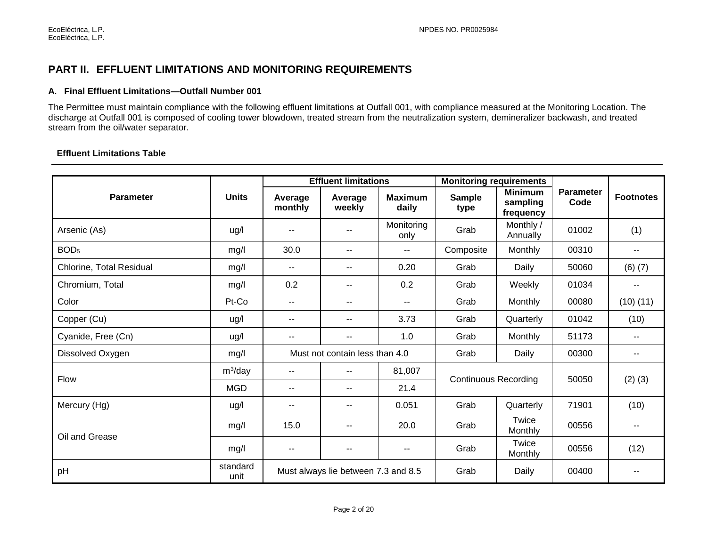# **PART II. EFFLUENT LIMITATIONS AND MONITORING REQUIREMENTS**

### **A. Final Effluent Limitations—Outfall Number 001**

The Permittee must maintain compliance with the following effluent limitations at Outfall 001, with compliance measured at the Monitoring Location. The discharge at Outfall 001 is composed of cooling tower blowdown, treated stream from the neutralization system, demineralizer backwash, and treated stream from the oil/water separator.

## **Effluent Limitations Table**

<span id="page-4-0"></span>

|                          |                  |                          | <b>Effluent limitations</b>         |                          | <b>Monitoring requirements</b> |                                         | <b>Parameter</b><br>Code | <b>Footnotes</b>         |
|--------------------------|------------------|--------------------------|-------------------------------------|--------------------------|--------------------------------|-----------------------------------------|--------------------------|--------------------------|
| <b>Parameter</b>         | <b>Units</b>     | Average<br>monthly       | Average<br>weekly                   | <b>Maximum</b><br>daily  | <b>Sample</b><br>type          | <b>Minimum</b><br>sampling<br>frequency |                          |                          |
| Arsenic (As)             | ug/l             | $\overline{\phantom{a}}$ | $- -$                               | Monitoring<br>only       | Grab                           | Monthly /<br>Annually                   | 01002                    | (1)                      |
| BOD <sub>5</sub>         | mg/l             | 30.0                     | $\overline{\phantom{a}}$            | $- -$                    | Composite                      | Monthly                                 | 00310                    | $- -$                    |
| Chlorine, Total Residual | mg/l             | $\sim$ $\sim$            | $\overline{\phantom{a}}$            | 0.20                     | Grab                           | Daily                                   | 50060                    | $(6)$ $(7)$              |
| Chromium, Total          | mg/l             | 0.2                      | ۰.                                  | 0.2                      | Grab                           | Weekly                                  | 01034                    | $\overline{\phantom{a}}$ |
| Color                    | Pt-Co            | $\overline{\phantom{a}}$ | --                                  | $\overline{\phantom{a}}$ | Grab                           | Monthly                                 | 00080                    | (10)(11)                 |
| Copper (Cu)              | ug/l             | $\overline{\phantom{a}}$ | $- -$                               | 3.73                     | Grab                           | Quarterly                               | 01042                    | (10)                     |
| Cyanide, Free (Cn)       | ug/l             | $\sim$                   | $\mathbf{u}$                        | 1.0                      | Grab                           | Monthly                                 | 51173                    | $\overline{\phantom{a}}$ |
| Dissolved Oxygen         | mg/l             |                          | Must not contain less than 4.0      |                          | Grab                           | Daily                                   | 00300                    | $\qquad \qquad -$        |
| <b>Flow</b>              | $m^3$ /day       | $- -$                    | $- -$                               | 81,007                   | <b>Continuous Recording</b>    |                                         |                          |                          |
|                          | <b>MGD</b>       | $\overline{\phantom{a}}$ | $\mathbf{u}$                        | 21.4                     |                                |                                         | 50050                    | $(2)$ $(3)$              |
| Mercury (Hg)             | ug/l             | $- -$                    | --                                  | 0.051                    | Grab                           | Quarterly                               | 71901                    | (10)                     |
| Oil and Grease           | mg/l             | 15.0                     | $- -$                               | 20.0                     | Grab                           | Twice<br>Monthly                        | 00556                    | $\sim$ $\sim$            |
|                          | mg/l             | $- -$                    | --                                  | $- -$                    | Grab                           | Twice<br>Monthly                        | 00556                    | (12)                     |
| pH                       | standard<br>unit |                          | Must always lie between 7.3 and 8.5 |                          | Grab                           | Daily                                   | 00400                    |                          |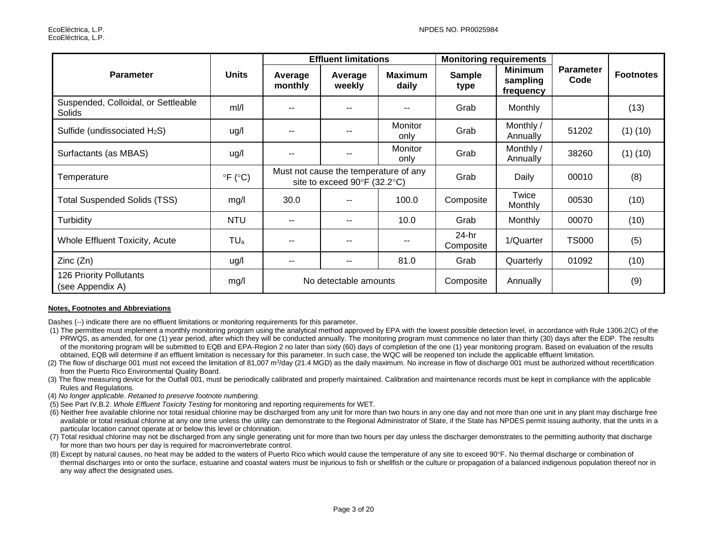|                                               |                            | <b>Effluent limitations</b> |                                                                       |                          | <b>Monitoring requirements</b> |                                         |                          |                  |
|-----------------------------------------------|----------------------------|-----------------------------|-----------------------------------------------------------------------|--------------------------|--------------------------------|-----------------------------------------|--------------------------|------------------|
| <b>Parameter</b>                              | <b>Units</b>               | Average<br>monthly          | Average<br>weekly                                                     | <b>Maximum</b><br>daily  | <b>Sample</b><br>type          | <b>Minimum</b><br>sampling<br>frequency | <b>Parameter</b><br>Code | <b>Footnotes</b> |
| Suspended, Colloidal, or Settleable<br>Solids | mI/I                       | $\sim$ $\sim$               | $- -$                                                                 | $- -$                    | Grab                           | Monthly                                 |                          | (13)             |
| Sulfide (undissociated H <sub>2</sub> S)      | ug/l                       | $\sim$ $\sim$               | --                                                                    | Monitor<br>only          | Grab                           | Monthly /<br>Annually                   | 51202                    | $(1)$ $(10)$     |
| Surfactants (as MBAS)                         | ug/l                       | $-$                         | $- -$                                                                 | Monitor<br>only          | Grab                           | Monthly /<br>Annually                   | 38260                    | $(1)$ $(10)$     |
| Temperature                                   | $\degree$ F ( $\degree$ C) |                             | Must not cause the temperature of any<br>site to exceed 90°F (32.2°C) |                          | Grab                           | Daily                                   | 00010                    | (8)              |
| <b>Total Suspended Solids (TSS)</b>           | mg/l                       | 30.0                        |                                                                       | 100.0                    | Composite                      | Twice<br>Monthly                        | 00530                    | (10)             |
| Turbidity                                     | <b>NTU</b>                 | $-$                         | --                                                                    | 10.0                     | Grab                           | Monthly                                 | 00070                    | (10)             |
| Whole Effluent Toxicity, Acute                | $TU_a$                     | $\overline{\phantom{m}}$    | --                                                                    | $\overline{\phantom{a}}$ | 24-hr<br>Composite             | 1/Quarter                               | <b>TS000</b>             | (5)              |
| Zinc(Zn)                                      | ug/l                       | $- -$                       | $- -$                                                                 | 81.0                     | Grab                           | Quarterly                               | 01092                    | (10)             |
| 126 Priority Pollutants<br>(see Appendix A)   | mg/l                       |                             | No detectable amounts                                                 |                          | Composite                      | Annually                                |                          | (9)              |

#### **Notes, Footnotes and Abbreviations**

Dashes (--) indicate there are no effluent limitations or monitoring requirements for this parameter.

- (1) The permittee must implement a monthly monitoring program using the analytical method approved by EPA with the lowest possible detection level, in accordance with Rule 1306.2(C) of the PRWQS, as amended, for one (1) year period, after which they will be conducted annually. The monitoring program must commence no later than thirty (30) days after the EDP. The results of the monitoring program will be submitted to EQB and EPA-Region 2 no later than sixty (60) days of completion of the one (1) year monitoring program. Based on evaluation of the results obtained, EQB will determine if an effluent limitation is necessary for this parameter. In such case, the WQC will be reopened ton include the applicable effluent limitation.
- (2) The flow of discharge 001 must not exceed the limitation of 81,007 m<sup>3</sup>/day (21.4 MGD) as the daily maximum. No increase in flow of discharge 001 must be authorized without recertification from the Puerto Rico Environmental Quality Board.
- (3) The flow measuring device for the Outfall 001, must be periodically calibrated and properly maintained. Calibration and maintenance records must be kept in compliance with the applicable Rules and Regulations.
- (4) *No longer applicable*. *Retained to preserve footnote numbering.*
- (5) See Part IV.B.2. *Whole Effluent Toxicity Testing* for monitoring and reporting requirements for WET.
- (6) Neither free available chlorine nor total residual chlorine may be discharged from any unit for more than two hours in any one day and not more than one unit in any plant may discharge free available or total residual chlorine at any one time unless the utility can demonstrate to the Regional Administrator of State, if the State has NPDES permit issuing authority, that the units in a particular location cannot operate at or below this level or chlorination.
- (7) Total residual chlorine may not be discharged from any single generating unit for more than two hours per day unless the discharger demonstrates to the permitting authority that discharge for more than two hours per day is required for macroinvertebrate control.
- (8) Except by natural causes, no heat may be added to the waters of Puerto Rico which would cause the temperature of any site to exceed 90°F. No thermal discharge or combination of thermal discharges into or onto the surface, estuarine and coastal waters must be injurious to fish or shellfish or the culture or propagation of a balanced indigenous population thereof nor in any way affect the designated uses.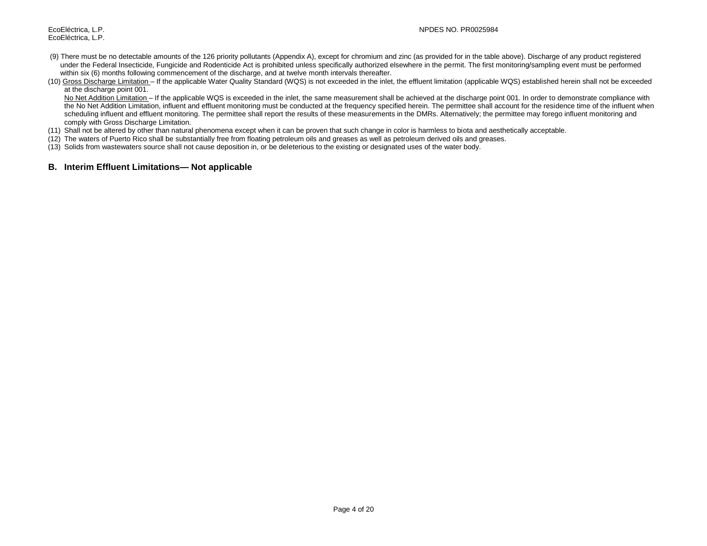- (9) There must be no detectable amounts of the 126 priority pollutants (Appendix A), except for chromium and zinc (as provided for in the table above). Discharge of any product registered under the Federal Insecticide, Fungicide and Rodenticide Act is prohibited unless specifically authorized elsewhere in the permit. The first monitoring/sampling event must be performed within six (6) months following commencement of the discharge, and at twelve month intervals thereafter.
- (10) Gross Discharge Limitation If the applicable Water Quality Standard (WQS) is not exceeded in the inlet, the effluent limitation (applicable WQS) established herein shall not be exceeded at the discharge point 001.

No Net Addition Limitation – If the applicable WQS is exceeded in the inlet, the same measurement shall be achieved at the discharge point 001. In order to demonstrate compliance with the No Net Addition Limitation, influent and effluent monitoring must be conducted at the frequency specified herein. The permittee shall account for the residence time of the influent when scheduling influent and effluent monitoring. The permittee shall report the results of these measurements in the DMRs. Alternatively; the permittee may forego influent monitoring and comply with Gross Discharge Limitation.

- (11) Shall not be altered by other than natural phenomena except when it can be proven that such change in color is harmless to biota and aesthetically acceptable.
- (12) The waters of Puerto Rico shall be substantially free from floating petroleum oils and greases as well as petroleum derived oils and greases.
- (13) Solids from wastewaters source shall not cause deposition in, or be deleterious to the existing or designated uses of the water body.

#### **B. Interim Effluent Limitations— Not applicable**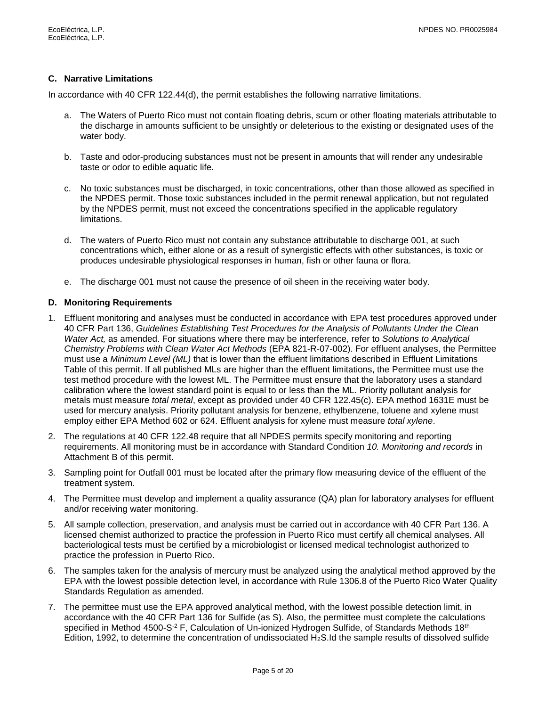## **C. Narrative Limitations**

In accordance with 40 CFR 122.44(d), the permit establishes the following narrative limitations.

- a. The Waters of Puerto Rico must not contain floating debris, scum or other floating materials attributable to the discharge in amounts sufficient to be unsightly or deleterious to the existing or designated uses of the water body.
- b. Taste and odor-producing substances must not be present in amounts that will render any undesirable taste or odor to edible aquatic life.
- c. No toxic substances must be discharged, in toxic concentrations, other than those allowed as specified in the NPDES permit. Those toxic substances included in the permit renewal application, but not regulated by the NPDES permit, must not exceed the concentrations specified in the applicable regulatory limitations.
- d. The waters of Puerto Rico must not contain any substance attributable to discharge 001, at such concentrations which, either alone or as a result of synergistic effects with other substances, is toxic or produces undesirable physiological responses in human, fish or other fauna or flora.
- e. The discharge 001 must not cause the presence of oil sheen in the receiving water body.

### **D. Monitoring Requirements**

- 1. Effluent monitoring and analyses must be conducted in accordance with EPA test procedures approved under 40 CFR Part 136, *Guidelines Establishing Test Procedures for the Analysis of Pollutants Under the Clean Water Act,* as amended. For situations where there may be interference, refer to *Solutions to Analytical Chemistry Problems with Clean Water Act Methods* (EPA 821-R-07-002). For effluent analyses, the Permittee must use a *Minimum Level (ML)* that is lower than the effluent limitations described in Effluent Limitations Table of this permit. If all published MLs are higher than the effluent limitations, the Permittee must use the test method procedure with the lowest ML. The Permittee must ensure that the laboratory uses a standard calibration where the lowest standard point is equal to or less than the ML. Priority pollutant analysis for metals must measure *total metal*, except as provided under 40 CFR 122.45(c). EPA method 1631E must be used for mercury analysis. Priority pollutant analysis for benzene, ethylbenzene, toluene and xylene must employ either EPA Method 602 or 624. Effluent analysis for xylene must measure *total xylene*.
- 2. The regulations at 40 CFR 122.48 require that all NPDES permits specify monitoring and reporting requirements. All monitoring must be in accordance with Standard Condition *10. Monitoring and records* in Attachment B of this permit.
- 3. Sampling point for Outfall 001 must be located after the primary flow measuring device of the effluent of the treatment system.
- 4. The Permittee must develop and implement a quality assurance (QA) plan for laboratory analyses for effluent and/or receiving water monitoring.
- 5. All sample collection, preservation, and analysis must be carried out in accordance with 40 CFR Part 136. A licensed chemist authorized to practice the profession in Puerto Rico must certify all chemical analyses. All bacteriological tests must be certified by a microbiologist or licensed medical technologist authorized to practice the profession in Puerto Rico.
- 6. The samples taken for the analysis of mercury must be analyzed using the analytical method approved by the EPA with the lowest possible detection level, in accordance with Rule 1306.8 of the Puerto Rico Water Quality Standards Regulation as amended.
- 7. The permittee must use the EPA approved analytical method, with the lowest possible detection limit, in accordance with the 40 CFR Part 136 for Sulfide (as S). Also, the permittee must complete the calculations specified in Method 4500-S<sup>-2</sup> F, Calculation of Un-ionized Hydrogen Sulfide, of Standards Methods 18<sup>th</sup> Edition, 1992, to determine the concentration of undissociated  $H_2S$ .Id the sample results of dissolved sulfide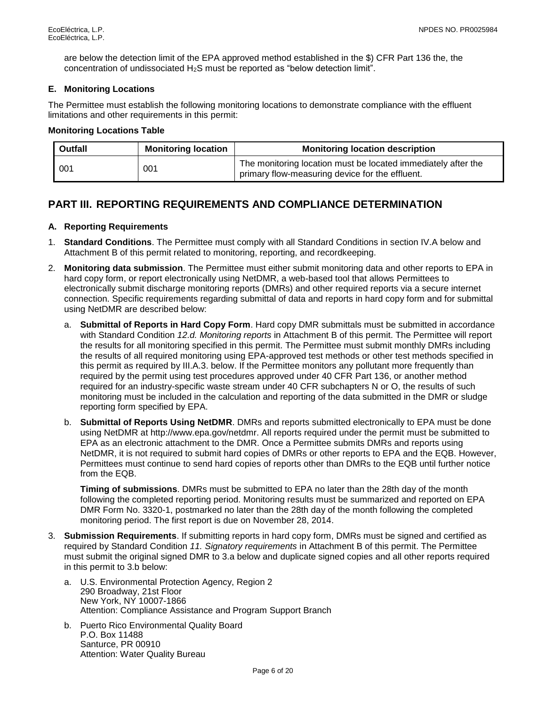are below the detection limit of the EPA approved method established in the \$) CFR Part 136 the, the concentration of undissociated H2S must be reported as "below detection limit".

## **E. Monitoring Locations**

The Permittee must establish the following monitoring locations to demonstrate compliance with the effluent limitations and other requirements in this permit:

### **Monitoring Locations Table**

| <b>Outfall</b> | <b>Monitoring location</b> | <b>Monitoring location description</b>                                                                           |
|----------------|----------------------------|------------------------------------------------------------------------------------------------------------------|
| 001            | 001                        | The monitoring location must be located immediately after the<br>primary flow-measuring device for the effluent. |

# <span id="page-8-0"></span>**PART III. REPORTING REQUIREMENTS AND COMPLIANCE DETERMINATION**

### **A. Reporting Requirements**

- 1. **Standard Conditions**. The Permittee must comply with all Standard Conditions in section IV.A below and Attachment B of this permit related to monitoring, reporting, and recordkeeping.
- 2. **Monitoring data submission**. The Permittee must either submit monitoring data and other reports to EPA in hard copy form, or report electronically using NetDMR, a web-based tool that allows Permittees to electronically submit discharge monitoring reports (DMRs) and other required reports via a secure internet connection. Specific requirements regarding submittal of data and reports in hard copy form and for submittal using NetDMR are described below:
	- a. **Submittal of Reports in Hard Copy Form**. Hard copy DMR submittals must be submitted in accordance with Standard Condition *12.d. Monitoring reports* in Attachment B of this permit. The Permittee will report the results for all monitoring specified in this permit. The Permittee must submit monthly DMRs including the results of all required monitoring using EPA-approved test methods or other test methods specified in this permit as required by III.A.3. below. If the Permittee monitors any pollutant more frequently than required by the permit using test procedures approved under 40 CFR Part 136, or another method required for an industry-specific waste stream under 40 CFR subchapters N or O, the results of such monitoring must be included in the calculation and reporting of the data submitted in the DMR or sludge reporting form specified by EPA.
	- b. **Submittal of Reports Using NetDMR**. DMRs and reports submitted electronically to EPA must be done using NetDMR at http://www.epa.gov/netdmr. All reports required under the permit must be submitted to EPA as an electronic attachment to the DMR. Once a Permittee submits DMRs and reports using NetDMR, it is not required to submit hard copies of DMRs or other reports to EPA and the EQB. However, Permittees must continue to send hard copies of reports other than DMRs to the EQB until further notice from the EQB.

**Timing of submissions**. DMRs must be submitted to EPA no later than the 28th day of the month following the completed reporting period. Monitoring results must be summarized and reported on EPA DMR Form No. 3320-1, postmarked no later than the 28th day of the month following the completed monitoring period. The first report is due on November 28, 2014.

- 3. **Submission Requirements**. If submitting reports in hard copy form, DMRs must be signed and certified as required by Standard Condition *11. Signatory requirements* in Attachment B of this permit. The Permittee must submit the original signed DMR to 3.a below and duplicate signed copies and all other reports required in this permit to 3.b below:
	- a. U.S. Environmental Protection Agency, Region 2 290 Broadway, 21st Floor New York, NY 10007-1866 Attention: Compliance Assistance and Program Support Branch
	- b. Puerto Rico Environmental Quality Board P.O. Box 11488 Santurce, PR 00910 Attention: Water Quality Bureau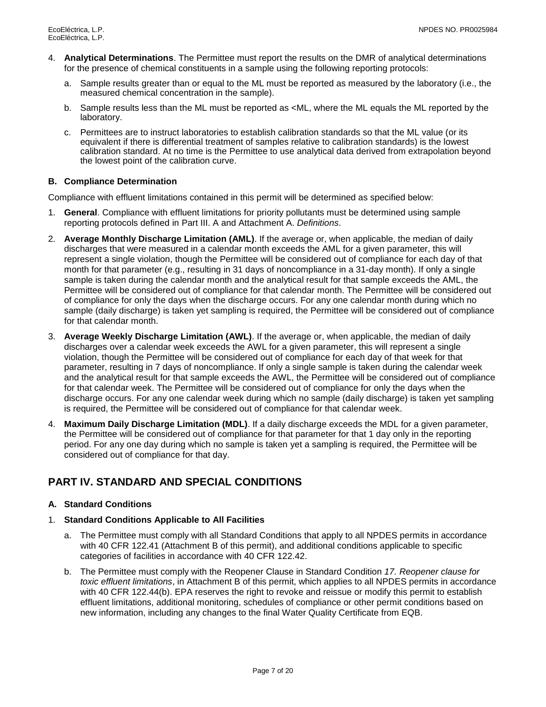- 4. **Analytical Determinations**. The Permittee must report the results on the DMR of analytical determinations for the presence of chemical constituents in a sample using the following reporting protocols:
	- a. Sample results greater than or equal to the ML must be reported as measured by the laboratory (i.e., the measured chemical concentration in the sample).
	- b. Sample results less than the ML must be reported as <ML, where the ML equals the ML reported by the laboratory.
	- c. Permittees are to instruct laboratories to establish calibration standards so that the ML value (or its equivalent if there is differential treatment of samples relative to calibration standards) is the lowest calibration standard. At no time is the Permittee to use analytical data derived from extrapolation beyond the lowest point of the calibration curve.

## **B. Compliance Determination**

Compliance with effluent limitations contained in this permit will be determined as specified below:

- 1. **General**. Compliance with effluent limitations for priority pollutants must be determined using sample reporting protocols defined in Part III. A and Attachment A. *Definitions*.
- 2. **Average Monthly Discharge Limitation (AML)**. If the average or, when applicable, the median of daily discharges that were measured in a calendar month exceeds the AML for a given parameter, this will represent a single violation, though the Permittee will be considered out of compliance for each day of that month for that parameter (e.g., resulting in 31 days of noncompliance in a 31-day month). If only a single sample is taken during the calendar month and the analytical result for that sample exceeds the AML, the Permittee will be considered out of compliance for that calendar month. The Permittee will be considered out of compliance for only the days when the discharge occurs. For any one calendar month during which no sample (daily discharge) is taken yet sampling is required, the Permittee will be considered out of compliance for that calendar month.
- 3. **Average Weekly Discharge Limitation (AWL)**. If the average or, when applicable, the median of daily discharges over a calendar week exceeds the AWL for a given parameter, this will represent a single violation, though the Permittee will be considered out of compliance for each day of that week for that parameter, resulting in 7 days of noncompliance. If only a single sample is taken during the calendar week and the analytical result for that sample exceeds the AWL, the Permittee will be considered out of compliance for that calendar week. The Permittee will be considered out of compliance for only the days when the discharge occurs. For any one calendar week during which no sample (daily discharge) is taken yet sampling is required, the Permittee will be considered out of compliance for that calendar week.
- 4. **Maximum Daily Discharge Limitation (MDL)**. If a daily discharge exceeds the MDL for a given parameter, the Permittee will be considered out of compliance for that parameter for that 1 day only in the reporting period. For any one day during which no sample is taken yet a sampling is required, the Permittee will be considered out of compliance for that day.

# <span id="page-9-0"></span>**PART IV. STANDARD AND SPECIAL CONDITIONS**

### **A. Standard Conditions**

### 1. **Standard Conditions Applicable to All Facilities**

- a. The Permittee must comply with all Standard Conditions that apply to all NPDES permits in accordance with 40 CFR 122.41 (Attachment B of this permit), and additional conditions applicable to specific categories of facilities in accordance with 40 CFR 122.42.
- b. The Permittee must comply with the Reopener Clause in Standard Condition *17. Reopener clause for toxic effluent limitations*, in Attachment B of this permit, which applies to all NPDES permits in accordance with 40 CFR 122.44(b). EPA reserves the right to revoke and reissue or modify this permit to establish effluent limitations, additional monitoring, schedules of compliance or other permit conditions based on new information, including any changes to the final Water Quality Certificate from EQB.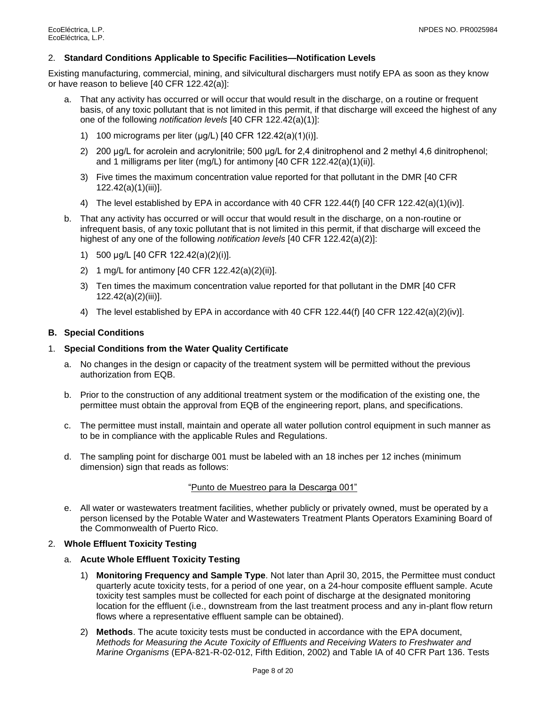#### 2. **Standard Conditions Applicable to Specific Facilities—Notification Levels**

Existing manufacturing, commercial, mining, and silvicultural dischargers must notify EPA as soon as they know or have reason to believe [40 CFR 122.42(a)]:

- a. That any activity has occurred or will occur that would result in the discharge, on a routine or frequent basis, of any toxic pollutant that is not limited in this permit, if that discharge will exceed the highest of any one of the following *notification levels* [40 CFR 122.42(a)(1)]:
	- 1) 100 micrograms per liter (μg/L) [40 CFR 122.42(a)(1)(i)].
	- 2) 200 μg/L for acrolein and acrylonitrile; 500 μg/L for 2,4 dinitrophenol and 2 methyl 4,6 dinitrophenol; and 1 milligrams per liter (mg/L) for antimony [40 CFR 122.42(a)(1)(ii)].
	- 3) Five times the maximum concentration value reported for that pollutant in the DMR [40 CFR 122.42(a)(1)(iii)].
	- 4) The level established by EPA in accordance with 40 CFR 122.44(f) [40 CFR 122.42(a)(1)(iv)].
- b. That any activity has occurred or will occur that would result in the discharge, on a non-routine or infrequent basis, of any toxic pollutant that is not limited in this permit, if that discharge will exceed the highest of any one of the following *notification levels* [40 CFR 122.42(a)(2)]:
	- 1) 500 μg/L [40 CFR 122.42(a)(2)(i)].
	- 2) 1 mg/L for antimony [40 CFR 122.42(a)(2)(ii)].
	- 3) Ten times the maximum concentration value reported for that pollutant in the DMR [40 CFR 122.42(a)(2)(iii)].
	- 4) The level established by EPA in accordance with 40 CFR 122.44(f) [40 CFR 122.42(a)(2)(iv)].

#### **B. Special Conditions**

#### 1. **Special Conditions from the Water Quality Certificate**

- a. No changes in the design or capacity of the treatment system will be permitted without the previous authorization from EQB.
- b. Prior to the construction of any additional treatment system or the modification of the existing one, the permittee must obtain the approval from EQB of the engineering report, plans, and specifications.
- c. The permittee must install, maintain and operate all water pollution control equipment in such manner as to be in compliance with the applicable Rules and Regulations.
- d. The sampling point for discharge 001 must be labeled with an 18 inches per 12 inches (minimum dimension) sign that reads as follows:

#### "Punto de Muestreo para la Descarga 001"

e. All water or wastewaters treatment facilities, whether publicly or privately owned, must be operated by a person licensed by the Potable Water and Wastewaters Treatment Plants Operators Examining Board of the Commonwealth of Puerto Rico.

### 2. **Whole Effluent Toxicity Testing**

- a. **Acute Whole Effluent Toxicity Testing**
	- 1) **Monitoring Frequency and Sample Type**. Not later than April 30, 2015, the Permittee must conduct quarterly acute toxicity tests, for a period of one year, on a 24-hour composite effluent sample. Acute toxicity test samples must be collected for each point of discharge at the designated monitoring location for the effluent (i.e., downstream from the last treatment process and any in-plant flow return flows where a representative effluent sample can be obtained).
	- 2) **Methods**. The acute toxicity tests must be conducted in accordance with the EPA document, *Methods for Measuring the Acute Toxicity of Effluents and Receiving Waters to Freshwater and Marine Organisms* (EPA-821-R-02-012, Fifth Edition, 2002) and Table IA of 40 CFR Part 136. Tests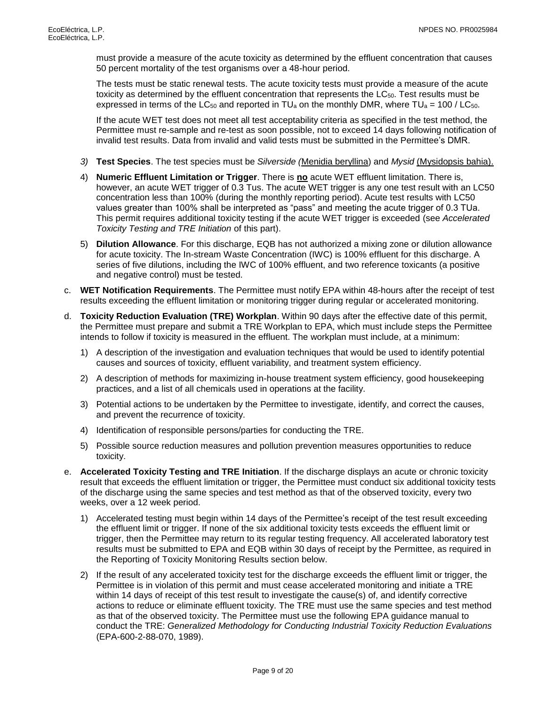must provide a measure of the acute toxicity as determined by the effluent concentration that causes 50 percent mortality of the test organisms over a 48-hour period.

The tests must be static renewal tests. The acute toxicity tests must provide a measure of the acute toxicity as determined by the effluent concentration that represents the  $LC_{50}$ . Test results must be expressed in terms of the LC<sub>50</sub> and reported in TU<sub>a</sub> on the monthly DMR, where TU<sub>a</sub> = 100 / LC<sub>50</sub>.

If the acute WET test does not meet all test acceptability criteria as specified in the test method, the Permittee must re-sample and re-test as soon possible, not to exceed 14 days following notification of invalid test results. Data from invalid and valid tests must be submitted in the Permittee's DMR.

- *3)* **Test Species**. The test species must be *Silverside (*Menidia beryllina) and *Mysid* (Mysidopsis bahia).
- 4) **Numeric Effluent Limitation or Trigger**. There is **no** acute WET effluent limitation. There is, however, an acute WET trigger of 0.3 Tus. The acute WET trigger is any one test result with an LC50 concentration less than 100% (during the monthly reporting period). Acute test results with LC50 values greater than 100% shall be interpreted as "pass" and meeting the acute trigger of 0.3 TUa. This permit requires additional toxicity testing if the acute WET trigger is exceeded (see *Accelerated Toxicity Testing and TRE Initiation* of this part).
- 5) **Dilution Allowance**. For this discharge, EQB has not authorized a mixing zone or dilution allowance for acute toxicity. The In-stream Waste Concentration (IWC) is 100% effluent for this discharge. A series of five dilutions, including the IWC of 100% effluent, and two reference toxicants (a positive and negative control) must be tested.
- c. **WET Notification Requirements**. The Permittee must notify EPA within 48-hours after the receipt of test results exceeding the effluent limitation or monitoring trigger during regular or accelerated monitoring.
- d. **Toxicity Reduction Evaluation (TRE) Workplan**. Within 90 days after the effective date of this permit, the Permittee must prepare and submit a TRE Workplan to EPA, which must include steps the Permittee intends to follow if toxicity is measured in the effluent. The workplan must include, at a minimum:
	- 1) A description of the investigation and evaluation techniques that would be used to identify potential causes and sources of toxicity, effluent variability, and treatment system efficiency.
	- 2) A description of methods for maximizing in-house treatment system efficiency, good housekeeping practices, and a list of all chemicals used in operations at the facility.
	- 3) Potential actions to be undertaken by the Permittee to investigate, identify, and correct the causes, and prevent the recurrence of toxicity.
	- 4) Identification of responsible persons/parties for conducting the TRE.
	- 5) Possible source reduction measures and pollution prevention measures opportunities to reduce toxicity.
- e. **Accelerated Toxicity Testing and TRE Initiation**. If the discharge displays an acute or chronic toxicity result that exceeds the effluent limitation or trigger, the Permittee must conduct six additional toxicity tests of the discharge using the same species and test method as that of the observed toxicity, every two weeks, over a 12 week period.
	- 1) Accelerated testing must begin within 14 days of the Permittee's receipt of the test result exceeding the effluent limit or trigger. If none of the six additional toxicity tests exceeds the effluent limit or trigger, then the Permittee may return to its regular testing frequency. All accelerated laboratory test results must be submitted to EPA and EQB within 30 days of receipt by the Permittee, as required in the Reporting of Toxicity Monitoring Results section below.
	- 2) If the result of any accelerated toxicity test for the discharge exceeds the effluent limit or trigger, the Permittee is in violation of this permit and must cease accelerated monitoring and initiate a TRE within 14 days of receipt of this test result to investigate the cause(s) of, and identify corrective actions to reduce or eliminate effluent toxicity. The TRE must use the same species and test method as that of the observed toxicity. The Permittee must use the following EPA guidance manual to conduct the TRE: *Generalized Methodology for Conducting Industrial Toxicity Reduction Evaluations* (EPA-600-2-88-070, 1989).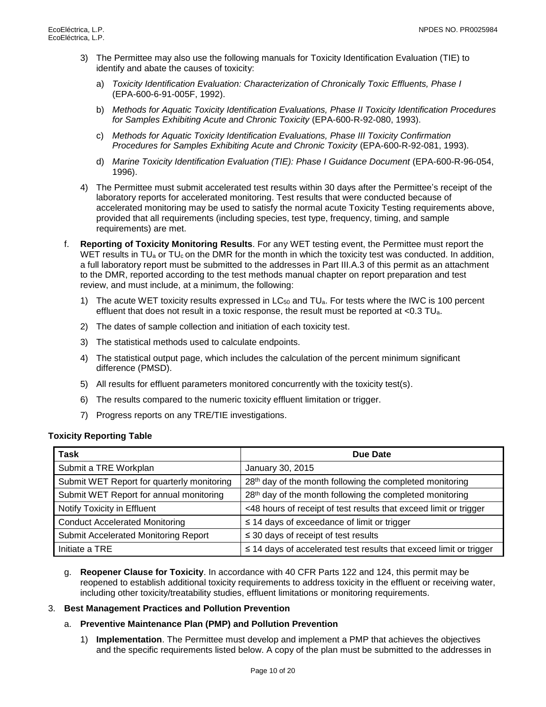- 3) The Permittee may also use the following manuals for Toxicity Identification Evaluation (TIE) to identify and abate the causes of toxicity:
	- a) *Toxicity Identification Evaluation: Characterization of Chronically Toxic Effluents, Phase I*  (EPA-600-6-91-005F, 1992).
	- b) *Methods for Aquatic Toxicity Identification Evaluations, Phase II Toxicity Identification Procedures for Samples Exhibiting Acute and Chronic Toxicity* (EPA-600-R-92-080, 1993).
	- c) *Methods for Aquatic Toxicity Identification Evaluations, Phase III Toxicity Confirmation Procedures for Samples Exhibiting Acute and Chronic Toxicity* (EPA-600-R-92-081, 1993).
	- d) *Marine Toxicity Identification Evaluation (TIE): Phase I Guidance Document* (EPA-600-R-96-054, 1996).
- 4) The Permittee must submit accelerated test results within 30 days after the Permittee's receipt of the laboratory reports for accelerated monitoring. Test results that were conducted because of accelerated monitoring may be used to satisfy the normal acute Toxicity Testing requirements above, provided that all requirements (including species, test type, frequency, timing, and sample requirements) are met.
- f. **Reporting of Toxicity Monitoring Results**. For any WET testing event, the Permittee must report the WET results in TU<sub>a</sub> or TU<sub>c</sub> on the DMR for the month in which the toxicity test was conducted. In addition, a full laboratory report must be submitted to the addresses in Part III.A.3 of this permit as an attachment to the DMR, reported according to the test methods manual chapter on report preparation and test review, and must include, at a minimum, the following:
	- 1) The acute WET toxicity results expressed in LC<sub>50</sub> and TU<sub>a</sub>. For tests where the IWC is 100 percent effluent that does not result in a toxic response, the result must be reported at  $<$ 0.3 TU<sub>a</sub>.
	- 2) The dates of sample collection and initiation of each toxicity test.
	- 3) The statistical methods used to calculate endpoints.
	- 4) The statistical output page, which includes the calculation of the percent minimum significant difference (PMSD).
	- 5) All results for effluent parameters monitored concurrently with the toxicity test(s).
	- 6) The results compared to the numeric toxicity effluent limitation or trigger.
	- 7) Progress reports on any TRE/TIE investigations.

### **Toxicity Reporting Table**

| <b>Task</b>                                | Due Date                                                                |
|--------------------------------------------|-------------------------------------------------------------------------|
| Submit a TRE Workplan                      | January 30, 2015                                                        |
| Submit WET Report for quarterly monitoring | 28 <sup>th</sup> day of the month following the completed monitoring    |
| Submit WET Report for annual monitoring    | 28 <sup>th</sup> day of the month following the completed monitoring    |
| Notify Toxicity in Effluent                | <48 hours of receipt of test results that exceed limit or trigger       |
| <b>Conduct Accelerated Monitoring</b>      | $\leq$ 14 days of exceedance of limit or trigger                        |
| Submit Accelerated Monitoring Report       | $\leq$ 30 days of receipt of test results                               |
| Initiate a TRE                             | $\leq$ 14 days of accelerated test results that exceed limit or trigger |

g. **Reopener Clause for Toxicity**. In accordance with 40 CFR Parts 122 and 124, this permit may be reopened to establish additional toxicity requirements to address toxicity in the effluent or receiving water, including other toxicity/treatability studies, effluent limitations or monitoring requirements.

### 3. **Best Management Practices and Pollution Prevention**

### a. **Preventive Maintenance Plan (PMP) and Pollution Prevention**

1) **Implementation**. The Permittee must develop and implement a PMP that achieves the objectives and the specific requirements listed below. A copy of the plan must be submitted to the addresses in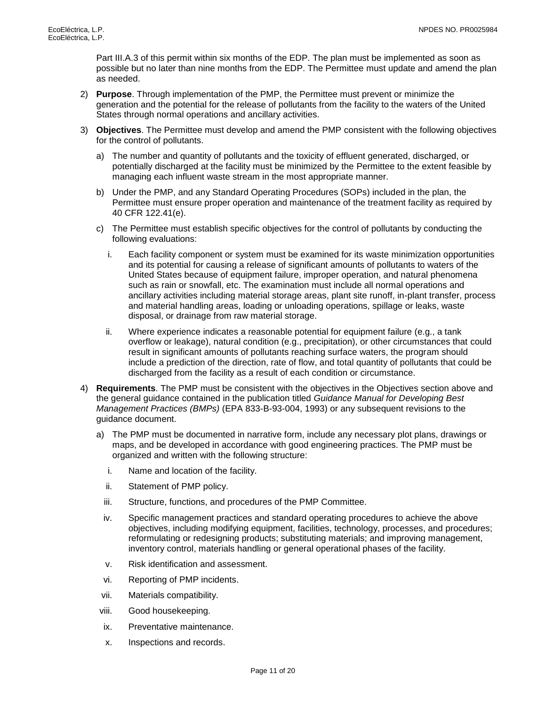Part III.A.3 of this permit within six months of the EDP. The plan must be implemented as soon as possible but no later than nine months from the EDP. The Permittee must update and amend the plan as needed.

- 2) **Purpose**. Through implementation of the PMP, the Permittee must prevent or minimize the generation and the potential for the release of pollutants from the facility to the waters of the United States through normal operations and ancillary activities.
- 3) **Objectives**. The Permittee must develop and amend the PMP consistent with the following objectives for the control of pollutants.
	- a) The number and quantity of pollutants and the toxicity of effluent generated, discharged, or potentially discharged at the facility must be minimized by the Permittee to the extent feasible by managing each influent waste stream in the most appropriate manner.
	- b) Under the PMP, and any Standard Operating Procedures (SOPs) included in the plan, the Permittee must ensure proper operation and maintenance of the treatment facility as required by 40 CFR 122.41(e).
	- c) The Permittee must establish specific objectives for the control of pollutants by conducting the following evaluations:
		- i. Each facility component or system must be examined for its waste minimization opportunities and its potential for causing a release of significant amounts of pollutants to waters of the United States because of equipment failure, improper operation, and natural phenomena such as rain or snowfall, etc. The examination must include all normal operations and ancillary activities including material storage areas, plant site runoff, in-plant transfer, process and material handling areas, loading or unloading operations, spillage or leaks, waste disposal, or drainage from raw material storage.
		- ii. Where experience indicates a reasonable potential for equipment failure (e.g., a tank overflow or leakage), natural condition (e.g., precipitation), or other circumstances that could result in significant amounts of pollutants reaching surface waters, the program should include a prediction of the direction, rate of flow, and total quantity of pollutants that could be discharged from the facility as a result of each condition or circumstance.
- 4) **Requirements**. The PMP must be consistent with the objectives in the Objectives section above and the general guidance contained in the publication titled *Guidance Manual for Developing Best Management Practices (BMPs)* (EPA 833-B-93-004, 1993) or any subsequent revisions to the guidance document.
	- a) The PMP must be documented in narrative form, include any necessary plot plans, drawings or maps, and be developed in accordance with good engineering practices. The PMP must be organized and written with the following structure:
		- i. Name and location of the facility.
		- ii. Statement of PMP policy.
		- iii. Structure, functions, and procedures of the PMP Committee.
		- iv. Specific management practices and standard operating procedures to achieve the above objectives, including modifying equipment, facilities, technology, processes, and procedures; reformulating or redesigning products; substituting materials; and improving management, inventory control, materials handling or general operational phases of the facility.
		- v. Risk identification and assessment.
		- vi. Reporting of PMP incidents.
	- vii. Materials compatibility.
	- viii. Good housekeeping.
	- ix. Preventative maintenance.
	- x. Inspections and records.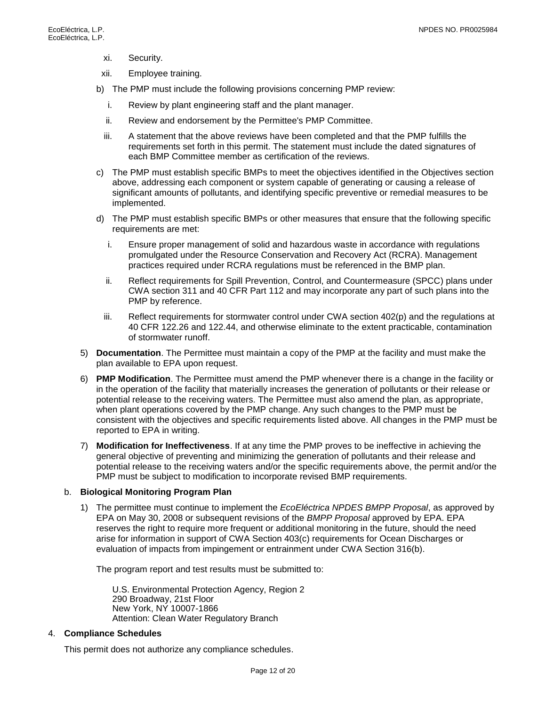- xi. Security.
- xii. Employee training.
- b) The PMP must include the following provisions concerning PMP review:
	- i. Review by plant engineering staff and the plant manager.
	- ii. Review and endorsement by the Permittee's PMP Committee.
	- iii. A statement that the above reviews have been completed and that the PMP fulfills the requirements set forth in this permit. The statement must include the dated signatures of each BMP Committee member as certification of the reviews.
- c) The PMP must establish specific BMPs to meet the objectives identified in the Objectives section above, addressing each component or system capable of generating or causing a release of significant amounts of pollutants, and identifying specific preventive or remedial measures to be implemented.
- d) The PMP must establish specific BMPs or other measures that ensure that the following specific requirements are met:
	- i. Ensure proper management of solid and hazardous waste in accordance with regulations promulgated under the Resource Conservation and Recovery Act (RCRA). Management practices required under RCRA regulations must be referenced in the BMP plan.
	- ii. Reflect requirements for Spill Prevention, Control, and Countermeasure (SPCC) plans under CWA section 311 and 40 CFR Part 112 and may incorporate any part of such plans into the PMP by reference.
	- iii. Reflect requirements for stormwater control under CWA section 402(p) and the regulations at 40 CFR 122.26 and 122.44, and otherwise eliminate to the extent practicable, contamination of stormwater runoff.
- 5) **Documentation**. The Permittee must maintain a copy of the PMP at the facility and must make the plan available to EPA upon request.
- 6) **PMP Modification**. The Permittee must amend the PMP whenever there is a change in the facility or in the operation of the facility that materially increases the generation of pollutants or their release or potential release to the receiving waters. The Permittee must also amend the plan, as appropriate, when plant operations covered by the PMP change. Any such changes to the PMP must be consistent with the objectives and specific requirements listed above. All changes in the PMP must be reported to EPA in writing.
- 7) **Modification for Ineffectiveness**. If at any time the PMP proves to be ineffective in achieving the general objective of preventing and minimizing the generation of pollutants and their release and potential release to the receiving waters and/or the specific requirements above, the permit and/or the PMP must be subject to modification to incorporate revised BMP requirements.

#### b. **Biological Monitoring Program Plan**

1) The permittee must continue to implement the *EcoEléctrica NPDES BMPP Proposal*, as approved by EPA on May 30, 2008 or subsequent revisions of the *BMPP Proposal* approved by EPA. EPA reserves the right to require more frequent or additional monitoring in the future, should the need arise for information in support of CWA Section 403(c) requirements for Ocean Discharges or evaluation of impacts from impingement or entrainment under CWA Section 316(b).

The program report and test results must be submitted to:

U.S. Environmental Protection Agency, Region 2 290 Broadway, 21st Floor New York, NY 10007-1866 Attention: Clean Water Regulatory Branch

#### 4. **Compliance Schedules**

This permit does not authorize any compliance schedules.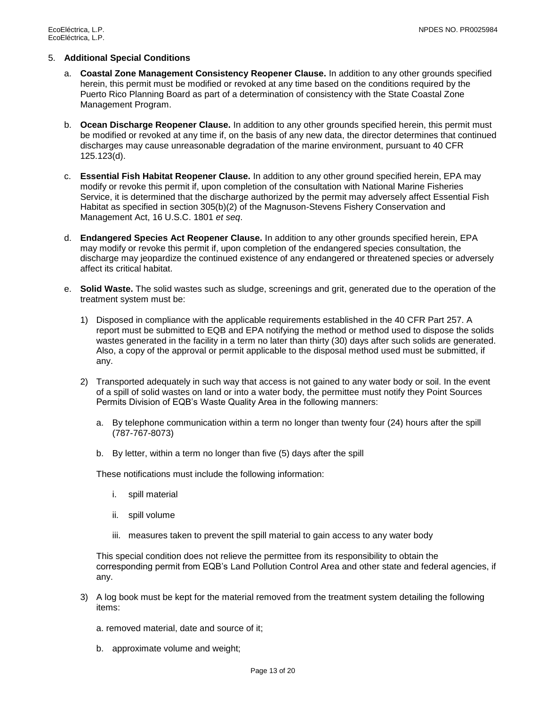#### 5. **Additional Special Conditions**

- a. **Coastal Zone Management Consistency Reopener Clause.** In addition to any other grounds specified herein, this permit must be modified or revoked at any time based on the conditions required by the Puerto Rico Planning Board as part of a determination of consistency with the State Coastal Zone Management Program.
- b. **Ocean Discharge Reopener Clause.** In addition to any other grounds specified herein, this permit must be modified or revoked at any time if, on the basis of any new data, the director determines that continued discharges may cause unreasonable degradation of the marine environment, pursuant to 40 CFR 125.123(d).
- c. **Essential Fish Habitat Reopener Clause.** In addition to any other ground specified herein, EPA may modify or revoke this permit if, upon completion of the consultation with National Marine Fisheries Service, it is determined that the discharge authorized by the permit may adversely affect Essential Fish Habitat as specified in section 305(b)(2) of the Magnuson-Stevens Fishery Conservation and Management Act, 16 U.S.C. 1801 *et seq*.
- d. **Endangered Species Act Reopener Clause.** In addition to any other grounds specified herein, EPA may modify or revoke this permit if, upon completion of the endangered species consultation, the discharge may jeopardize the continued existence of any endangered or threatened species or adversely affect its critical habitat.
- e. **Solid Waste.** The solid wastes such as sludge, screenings and grit, generated due to the operation of the treatment system must be:
	- 1) Disposed in compliance with the applicable requirements established in the 40 CFR Part 257. A report must be submitted to EQB and EPA notifying the method or method used to dispose the solids wastes generated in the facility in a term no later than thirty (30) days after such solids are generated. Also, a copy of the approval or permit applicable to the disposal method used must be submitted, if any.
	- 2) Transported adequately in such way that access is not gained to any water body or soil. In the event of a spill of solid wastes on land or into a water body, the permittee must notify they Point Sources Permits Division of EQB's Waste Quality Area in the following manners:
		- a. By telephone communication within a term no longer than twenty four (24) hours after the spill (787-767-8073)
		- b. By letter, within a term no longer than five (5) days after the spill

These notifications must include the following information:

- i. spill material
- ii. spill volume
- iii. measures taken to prevent the spill material to gain access to any water body

This special condition does not relieve the permittee from its responsibility to obtain the corresponding permit from EQB's Land Pollution Control Area and other state and federal agencies, if any.

3) A log book must be kept for the material removed from the treatment system detailing the following items:

a. removed material, date and source of it;

b. approximate volume and weight;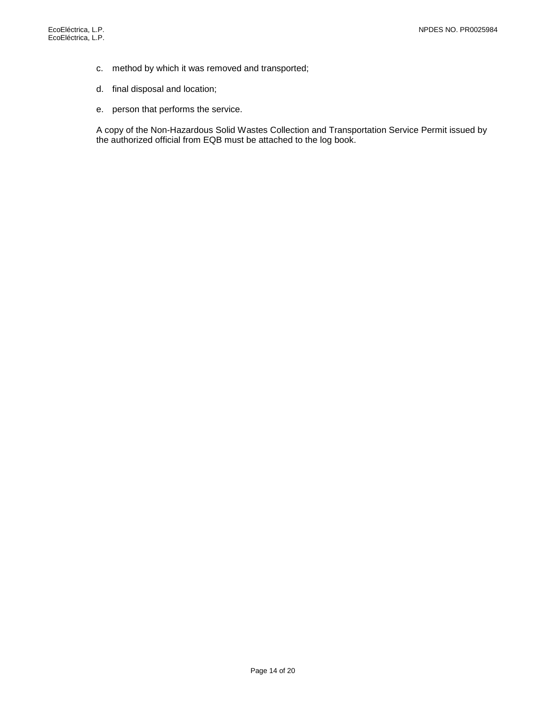- c. method by which it was removed and transported;
- d. final disposal and location;
- e. person that performs the service.

A copy of the Non-Hazardous Solid Wastes Collection and Transportation Service Permit issued by the authorized official from EQB must be attached to the log book.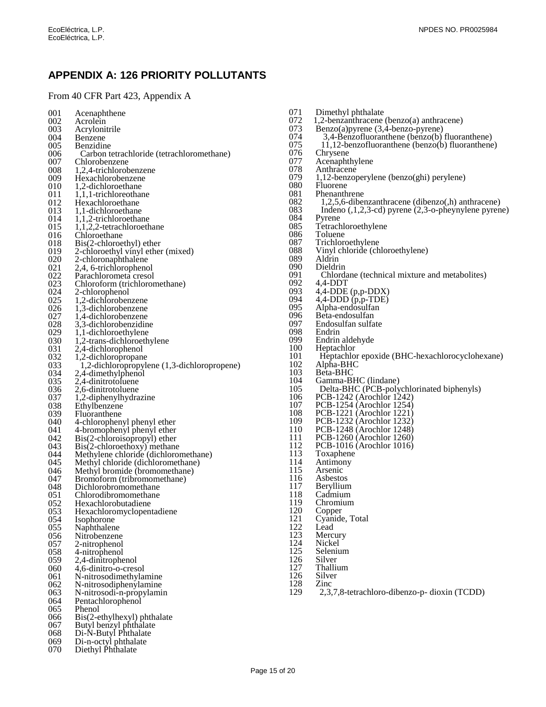# <span id="page-17-0"></span>**APPENDIX A: 126 PRIORITY POLLUTANTS**

## From 40 CFR Part 423, Appendix A

| 001        | Acenaphthene                                                       |
|------------|--------------------------------------------------------------------|
| 002        | Acrolein                                                           |
| 003        | Acrylonitrile                                                      |
| 004        | Benzene                                                            |
| 005        | Benzidine                                                          |
| 006        | Carbon tetrachloride (tetrachloromethane)                          |
| 007        | Chlorobenzene                                                      |
| 008        | 1,2,4-trichlorobenzene                                             |
| 009<br>010 | Hexachlorobenzene<br>1,2-dichloroethane                            |
| 011        | 1,1,1-trichloreothane                                              |
| 012        | Hexachloroethane                                                   |
| 013        | 1,1-dichloroethane                                                 |
| 014        | 1,1,2-trichloroethane                                              |
| 015        | 1,1,2,2-tetrachloroethane                                          |
| 016        | Chloroethane                                                       |
| 018        | Bis(2-chloroethyl) ether                                           |
| 019        | 2-chloroethyl vinyl ether (mixed)                                  |
| 020        | 2-chloronaphthalene                                                |
| 021        | 2,4, 6-trichlorophenol                                             |
| 022<br>023 | Parachlorometa cresol                                              |
| 024        | Chloroform (trichloromethane)<br>2-chlorophenol                    |
| 025        | 1,2-dichlorobenzene                                                |
| 026        | 1,3-dichlorobenzene                                                |
| 027        | 1,4-dichlorobenzene                                                |
| 028        | 3,3-dichlorobenzidine                                              |
| 029        | 1,1-dichloroethylene                                               |
| 030        | 1,2-trans-dichloroethylene                                         |
| 031        | 2,4-dichlorophenol                                                 |
| 032        | 1,2-dichloropropane                                                |
| 033        | 1,2-dichloropropylene (1,3-dichloropropene)                        |
| 034<br>035 | 2,4-dimethylphenol<br>2,4-dinitrotoluene                           |
| 036        | 2,6-dinitrotoluene                                                 |
| 037        | 1,2-diphenylhydrazine                                              |
| 038        | Ethylbenzene                                                       |
| 039        | Fluoranthene                                                       |
| 040        | 4-chlorophenyl phenyl ether                                        |
| 041        | 4-bromophenyl phenyl ether                                         |
| 042        | Bis(2-chloroisopropyl) ether                                       |
| 043        | Bis(2-chloroethoxy) methane                                        |
| 044        | Methylene chloride (dichloromethane)                               |
| 045<br>046 | Methyl chloride (dichloromethane)<br>Methyl bromide (bromomethane) |
| 047        | Bromoform (tribromomethane)                                        |
| 048        | Dichlorobromomethane                                               |
| 051        | Chlorodibromomethane                                               |
| U52        | Hexachlorobutadiene                                                |
| 053        | Hexachloromyclopentadiene                                          |
| 054        | Isophorone                                                         |
| 055        | Naphthalene                                                        |
| 056        | Nitrobenzene                                                       |
| 057<br>058 | 2-nitrophenol                                                      |
| 059        | 4-nitrophenol<br>2,4-dinitrophenol                                 |
| 060        | 4,6-dinitro-o-cresol                                               |
| 061        | N-nitrosodimethylamine                                             |
| 062        | N-nitrosodiphenylamine                                             |
| 063        | N-nitrosodi-n-propylamin                                           |
| 064        | Pentachlorophenol                                                  |
| 065        | Phenol                                                             |
| 066        | Bis(2-ethylhexyl) phthalate                                        |
| 067        | Butyl benzyl phthalate                                             |
| 068<br>069 | Di-N-Butyl Phthalate                                               |
| <u>n70</u> | Di-n-octyl phthalate<br>Disthyl Phthalate                          |

| 070 |  | Diethyl Phthalate |
|-----|--|-------------------|
|-----|--|-------------------|

| 071        | Dimethyl phthalate                                       |
|------------|----------------------------------------------------------|
| 072        | $1,2$ -benzanthracene (benzo(a) anthracene)              |
| 073        | Benzo(a) pyrene $(3,4$ -benzo-pyrene)                    |
| 074        | 3,4-Benzofluoranthene (benzo(b) fluoranthene)            |
| 075        | 11,12-benzofluoranthene (benzo(b) fluoranthene)          |
| 076        | Chrysene                                                 |
| 077        | Acenaphthylene                                           |
| 078        | Anthracene                                               |
|            |                                                          |
| 079<br>080 | 1,12-benzoperylene (benzo(ghi) perylene)<br>Fluorene     |
|            | Phenanthrene                                             |
| 081        |                                                          |
| 082        | 1,2,5,6-dibenzanthracene (dibenzo(,h) anthracene)        |
| 083        | Indeno $(1,2,3$ -cd) pyrene $(2,3$ -o-pheynylene pyrene) |
| 084        | Pyrene                                                   |
| 085        | Tetrachloroethylene                                      |
| 086        | Toluene                                                  |
| 087        | Trichloroethylene                                        |
| 088        | Vinyl chloride (chloroethylene)                          |
| 089        | Aldrin                                                   |
| 090        | Dieldrin                                                 |
| 091        | Chlordane (technical mixture and metabolites)            |
| 092        | $4,4-DDT$                                                |
| 093        | $4,4$ -DDE (p,p-DDX)                                     |
| 094        | $4,4$ -DDD $(p,p$ -TDE)                                  |
| 095        | Alpha-endosulfan<br>Beta-endosulfan                      |
| 096<br>097 | Endosulfan sulfate                                       |
| 098        | Endrin                                                   |
| 099        | Endrin aldehyde                                          |
| 100        | Heptachlor                                               |
| 101        | Heptachlor epoxide (BHC-hexachlorocyclohexane)           |
| 102        |                                                          |
| 103        | Alpha-BHC<br>Beta-BHC                                    |
| 104        | Gamma-BHC (lindane)                                      |
| 105        | Delta-BHC (PCB-polychlorinated biphenyls)                |
| 106        | PCB-1242 (Arochlor 1242)                                 |
| 107        | PCB-1254 (Arochlor 1254)                                 |
| 108        | PCB-1221 (Arochlor 1221)                                 |
| 109        | PCB-1232 (Arochlor 1232)                                 |
| 110        | PCB-1248 (Arochlor 1248)                                 |
| 111        | PCB-1260 (Arochlor 1260)                                 |
| 112        | PCB-1016 (Arochlor 1016)                                 |
| 113        | Toxaphene                                                |
| 114        | Antimony                                                 |
| 115        | Arsenic                                                  |
|            |                                                          |

- 
- 116 Asbestos<br>117 Beryllium 117 Beryllium<br>118 Cadmium
- 
- 118 Cadmium<br>119 Chromium
- 120 Copper
- 119 Chromium<br>
120 Copper<br>
121 Cyanide, T<br>
122 Lead<br>
123 Mercury 121 Cyanide, Total
- 122 Lead
- 123 Mercury
- 123 McCal<br>
124 Nickel<br>
125 Seleniu<br>
126 Silver<br>
127 Thalliu
- Selenium
- Silver
- 127 Thallium<br>126 Silver<br>128 Zinc
- 126 Silver
- 128 Zinc
- 129 2,3,7,8-tetrachloro-dibenzo-p- dioxin (TCDD)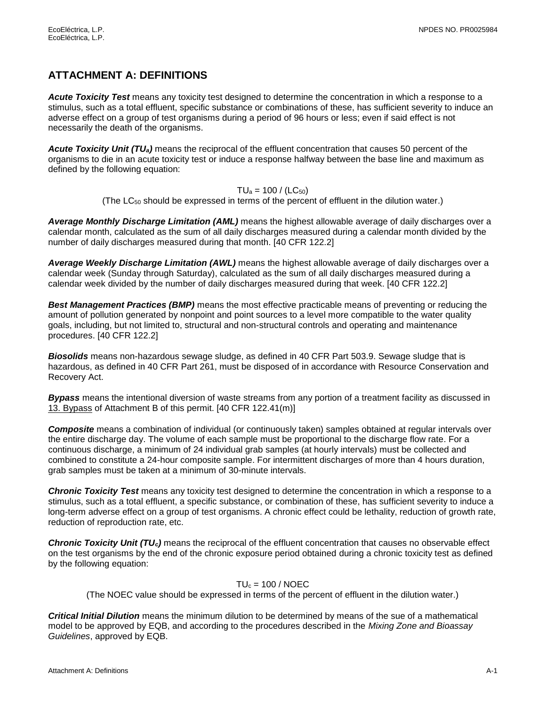# <span id="page-18-0"></span>**ATTACHMENT A: DEFINITIONS**

*Acute Toxicity Test* means any toxicity test designed to determine the concentration in which a response to a stimulus, such as a total effluent, specific substance or combinations of these, has sufficient severity to induce an adverse effect on a group of test organisms during a period of 96 hours or less; even if said effect is not necessarily the death of the organisms.

*Acute Toxicity Unit (TUa)* means the reciprocal of the effluent concentration that causes 50 percent of the organisms to die in an acute toxicity test or induce a response halfway between the base line and maximum as defined by the following equation:

 $TU_a = 100 / (LC_{50})$ 

(The LC<sup>50</sup> should be expressed in terms of the percent of effluent in the dilution water.)

*Average Monthly Discharge Limitation (AML)* means the highest allowable average of daily discharges over a calendar month, calculated as the sum of all daily discharges measured during a calendar month divided by the number of daily discharges measured during that month. [40 CFR 122.2]

*Average Weekly Discharge Limitation (AWL)* means the highest allowable average of daily discharges over a calendar week (Sunday through Saturday), calculated as the sum of all daily discharges measured during a calendar week divided by the number of daily discharges measured during that week. [40 CFR 122.2]

*Best Management Practices (BMP)* means the most effective practicable means of preventing or reducing the amount of pollution generated by nonpoint and point sources to a level more compatible to the water quality goals, including, but not limited to, structural and non-structural controls and operating and maintenance procedures. [40 CFR 122.2]

*Biosolids* means non-hazardous sewage sludge, as defined in 40 CFR Part 503.9. Sewage sludge that is hazardous, as defined in 40 CFR Part 261, must be disposed of in accordance with Resource Conservation and Recovery Act.

*Bypass* means the intentional diversion of waste streams from any portion of a treatment facility as discussed in 13. Bypass of Attachment B of this permit. [40 CFR 122.41(m)]

*Composite* means a combination of individual (or continuously taken) samples obtained at regular intervals over the entire discharge day. The volume of each sample must be proportional to the discharge flow rate. For a continuous discharge, a minimum of 24 individual grab samples (at hourly intervals) must be collected and combined to constitute a 24-hour composite sample. For intermittent discharges of more than 4 hours duration, grab samples must be taken at a minimum of 30-minute intervals.

*Chronic Toxicity Test* means any toxicity test designed to determine the concentration in which a response to a stimulus, such as a total effluent, a specific substance, or combination of these, has sufficient severity to induce a long-term adverse effect on a group of test organisms. A chronic effect could be lethality, reduction of growth rate, reduction of reproduction rate, etc.

*Chronic Toxicity Unit (TUc)* means the reciprocal of the effluent concentration that causes no observable effect on the test organisms by the end of the chronic exposure period obtained during a chronic toxicity test as defined by the following equation:

### $TU_c = 100 / NOEC$

(The NOEC value should be expressed in terms of the percent of effluent in the dilution water.)

*Critical Initial Dilution* means the minimum dilution to be determined by means of the sue of a mathematical model to be approved by EQB, and according to the procedures described in the *Mixing Zone and Bioassay Guidelines*, approved by EQB.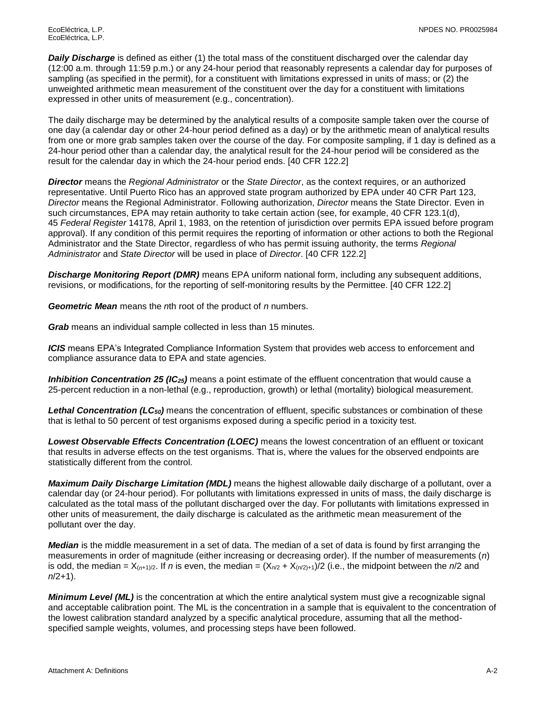**Daily Discharge** is defined as either (1) the total mass of the constituent discharged over the calendar day (12:00 a.m. through 11:59 p.m.) or any 24-hour period that reasonably represents a calendar day for purposes of sampling (as specified in the permit), for a constituent with limitations expressed in units of mass; or (2) the unweighted arithmetic mean measurement of the constituent over the day for a constituent with limitations expressed in other units of measurement (e.g., concentration).

The daily discharge may be determined by the analytical results of a composite sample taken over the course of one day (a calendar day or other 24-hour period defined as a day) or by the arithmetic mean of analytical results from one or more grab samples taken over the course of the day. For composite sampling, if 1 day is defined as a 24-hour period other than a calendar day, the analytical result for the 24-hour period will be considered as the result for the calendar day in which the 24-hour period ends. [40 CFR 122.2]

*Director* means the *Regional Administrator* or the *State Director*, as the context requires, or an authorized representative. Until Puerto Rico has an approved state program authorized by EPA under 40 CFR Part 123, *Director* means the Regional Administrator. Following authorization, *Director* means the State Director. Even in such circumstances, EPA may retain authority to take certain action (see, for example, 40 CFR 123.1(d), 45 *Federal Register* 14178, April 1, 1983, on the retention of jurisdiction over permits EPA issued before program approval). If any condition of this permit requires the reporting of information or other actions to both the Regional Administrator and the State Director, regardless of who has permit issuing authority, the terms *Regional Administrator* and *State Director* will be used in place of *Director*. [40 CFR 122.2]

*Discharge Monitoring Report (DMR)* means EPA uniform national form, including any subsequent additions, revisions, or modifications, for the reporting of self-monitoring results by the Permittee. [40 CFR 122.2]

*Geometric Mean* means the *n*th root of the product of *n* numbers.

*Grab* means an individual sample collected in less than 15 minutes.

*ICIS* means EPA's Integrated Compliance Information System that provides web access to enforcement and compliance assurance data to EPA and state agencies.

*Inhibition Concentration 25 (IC25)* means a point estimate of the effluent concentration that would cause a 25-percent reduction in a non-lethal (e.g., reproduction, growth) or lethal (mortality) biological measurement.

*Lethal Concentration (LC50)* means the concentration of effluent, specific substances or combination of these that is lethal to 50 percent of test organisms exposed during a specific period in a toxicity test.

*Lowest Observable Effects Concentration (LOEC)* means the lowest concentration of an effluent or toxicant that results in adverse effects on the test organisms. That is, where the values for the observed endpoints are statistically different from the control.

*Maximum Daily Discharge Limitation (MDL)* means the highest allowable daily discharge of a pollutant, over a calendar day (or 24-hour period). For pollutants with limitations expressed in units of mass, the daily discharge is calculated as the total mass of the pollutant discharged over the day. For pollutants with limitations expressed in other units of measurement, the daily discharge is calculated as the arithmetic mean measurement of the pollutant over the day.

*Median* is the middle measurement in a set of data. The median of a set of data is found by first arranging the measurements in order of magnitude (either increasing or decreasing order). If the number of measurements (*n*) is odd, the median =  $X_{(n+1)/2}$ . If *n* is even, the median =  $(X_{n/2} + X_{(n/2)+1})/2$  (i.e., the midpoint between the *n*/2 and *n*/2+1).

*Minimum Level (ML)* is the concentration at which the entire analytical system must give a recognizable signal and acceptable calibration point. The ML is the concentration in a sample that is equivalent to the concentration of the lowest calibration standard analyzed by a specific analytical procedure, assuming that all the methodspecified sample weights, volumes, and processing steps have been followed.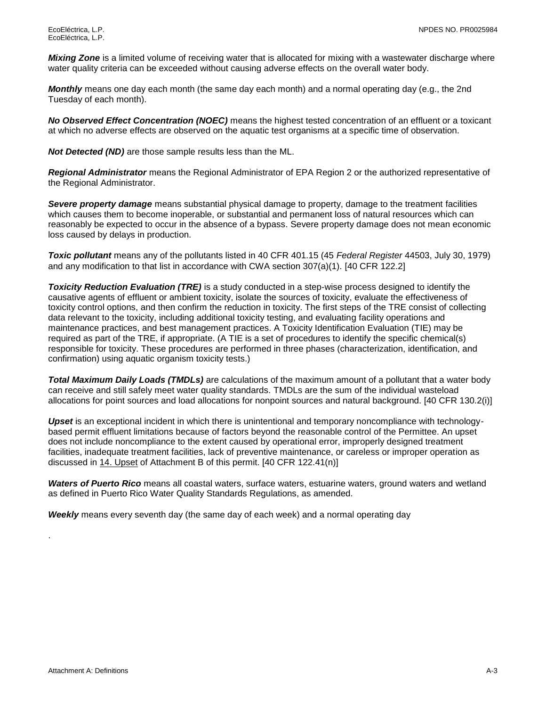*Mixing Zone* is a limited volume of receiving water that is allocated for mixing with a wastewater discharge where water quality criteria can be exceeded without causing adverse effects on the overall water body.

*Monthly* means one day each month (the same day each month) and a normal operating day (e.g., the 2nd Tuesday of each month).

*No Observed Effect Concentration (NOEC)* means the highest tested concentration of an effluent or a toxicant at which no adverse effects are observed on the aquatic test organisms at a specific time of observation.

*Not Detected (ND)* are those sample results less than the ML.

*Regional Administrator* means the Regional Administrator of EPA Region 2 or the authorized representative of the Regional Administrator.

*Severe property damage* means substantial physical damage to property, damage to the treatment facilities which causes them to become inoperable, or substantial and permanent loss of natural resources which can reasonably be expected to occur in the absence of a bypass. Severe property damage does not mean economic loss caused by delays in production.

*Toxic pollutant* means any of the pollutants listed in 40 CFR 401.15 (45 *Federal Register* 44503, July 30, 1979) and any modification to that list in accordance with CWA section 307(a)(1). [40 CFR 122.2]

*Toxicity Reduction Evaluation (TRE)* is a study conducted in a step-wise process designed to identify the causative agents of effluent or ambient toxicity, isolate the sources of toxicity, evaluate the effectiveness of toxicity control options, and then confirm the reduction in toxicity. The first steps of the TRE consist of collecting data relevant to the toxicity, including additional toxicity testing, and evaluating facility operations and maintenance practices, and best management practices. A Toxicity Identification Evaluation (TIE) may be required as part of the TRE, if appropriate. (A TIE is a set of procedures to identify the specific chemical(s) responsible for toxicity. These procedures are performed in three phases (characterization, identification, and confirmation) using aquatic organism toxicity tests.)

*Total Maximum Daily Loads (TMDLs)* are calculations of the maximum amount of a pollutant that a water body can receive and still safely meet water quality standards. TMDLs are the sum of the individual wasteload allocations for point sources and load allocations for nonpoint sources and natural background. [40 CFR 130.2(i)]

*Upset* is an exceptional incident in which there is unintentional and temporary noncompliance with technologybased permit effluent limitations because of factors beyond the reasonable control of the Permittee. An upset does not include noncompliance to the extent caused by operational error, improperly designed treatment facilities, inadequate treatment facilities, lack of preventive maintenance, or careless or improper operation as discussed in 14. Upset of Attachment B of this permit. [40 CFR 122.41(n)]

*Waters of Puerto Rico* means all coastal waters, surface waters, estuarine waters, ground waters and wetland as defined in Puerto Rico Water Quality Standards Regulations, as amended.

*Weekly* means every seventh day (the same day of each week) and a normal operating day

.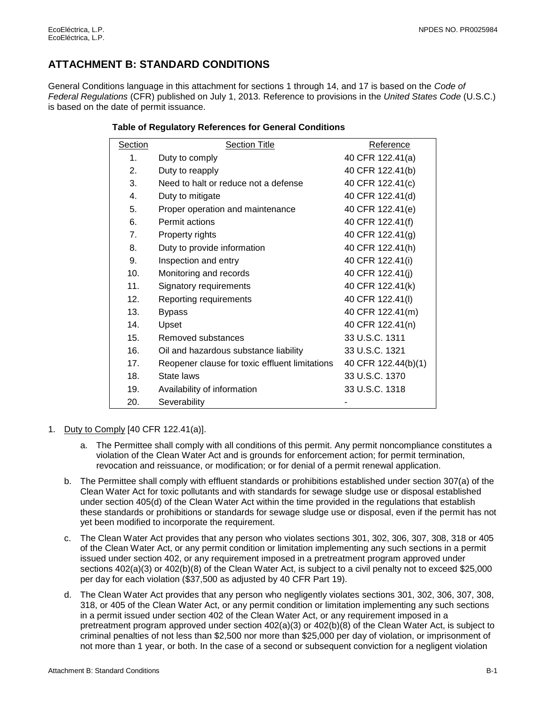# <span id="page-21-0"></span>**ATTACHMENT B: STANDARD CONDITIONS**

General Conditions language in this attachment for sections 1 through 14, and 17 is based on the *Code of Federal Regulations* (CFR) published on July 1, 2013. Reference to provisions in the *United States Code* (U.S.C.) is based on the date of permit issuance.

| Section          | <b>Section Title</b>                           | Reference           |
|------------------|------------------------------------------------|---------------------|
| 1.               | Duty to comply                                 | 40 CFR 122.41(a)    |
| $\mathfrak{D}$   | Duty to reapply                                | 40 CFR 122.41(b)    |
| 3.               | Need to halt or reduce not a defense           | 40 CFR 122.41(c)    |
| 4.               | Duty to mitigate                               | 40 CFR 122.41(d)    |
| 5.               | Proper operation and maintenance               | 40 CFR 122.41(e)    |
| 6.               | Permit actions                                 | 40 CFR 122.41(f)    |
| $\overline{7}$ . | Property rights                                | 40 CFR 122.41(g)    |
| 8.               | Duty to provide information                    | 40 CFR 122.41(h)    |
| 9.               | Inspection and entry                           | 40 CFR 122.41(i)    |
| 10.              | Monitoring and records                         | 40 CFR 122.41(j)    |
| 11.              | Signatory requirements                         | 40 CFR 122.41(k)    |
| 12.              | Reporting requirements                         | 40 CFR 122.41(I)    |
| 13.              | <b>Bypass</b>                                  | 40 CFR 122.41(m)    |
| 14.              | Upset                                          | 40 CFR 122.41(n)    |
| 15.              | Removed substances                             | 33 U.S.C. 1311      |
| 16.              | Oil and hazardous substance liability          | 33 U.S.C. 1321      |
| 17.              | Reopener clause for toxic effluent limitations | 40 CFR 122.44(b)(1) |
| 18.              | State laws                                     | 33 U.S.C. 1370      |
| 19.              | Availability of information                    | 33 U.S.C. 1318      |
| 20.              | Severability                                   |                     |

### **Table of Regulatory References for General Conditions**

- 1. Duty to Comply [40 CFR 122.41(a)].
	- a. The Permittee shall comply with all conditions of this permit. Any permit noncompliance constitutes a violation of the Clean Water Act and is grounds for enforcement action; for permit termination, revocation and reissuance, or modification; or for denial of a permit renewal application.
	- b. The Permittee shall comply with effluent standards or prohibitions established under section 307(a) of the Clean Water Act for toxic pollutants and with standards for sewage sludge use or disposal established under section 405(d) of the Clean Water Act within the time provided in the regulations that establish these standards or prohibitions or standards for sewage sludge use or disposal, even if the permit has not yet been modified to incorporate the requirement.
	- c. The Clean Water Act provides that any person who violates sections 301, 302, 306, 307, 308, 318 or 405 of the Clean Water Act, or any permit condition or limitation implementing any such sections in a permit issued under section 402, or any requirement imposed in a pretreatment program approved under sections 402(a)(3) or 402(b)(8) of the Clean Water Act, is subject to a civil penalty not to exceed \$25,000 per day for each violation (\$37,500 as adjusted by 40 CFR Part 19).
	- d. The Clean Water Act provides that any person who negligently violates sections 301, 302, 306, 307, 308, 318, or 405 of the Clean Water Act, or any permit condition or limitation implementing any such sections in a permit issued under section 402 of the Clean Water Act, or any requirement imposed in a pretreatment program approved under section 402(a)(3) or 402(b)(8) of the Clean Water Act, is subject to criminal penalties of not less than \$2,500 nor more than \$25,000 per day of violation, or imprisonment of not more than 1 year, or both. In the case of a second or subsequent conviction for a negligent violation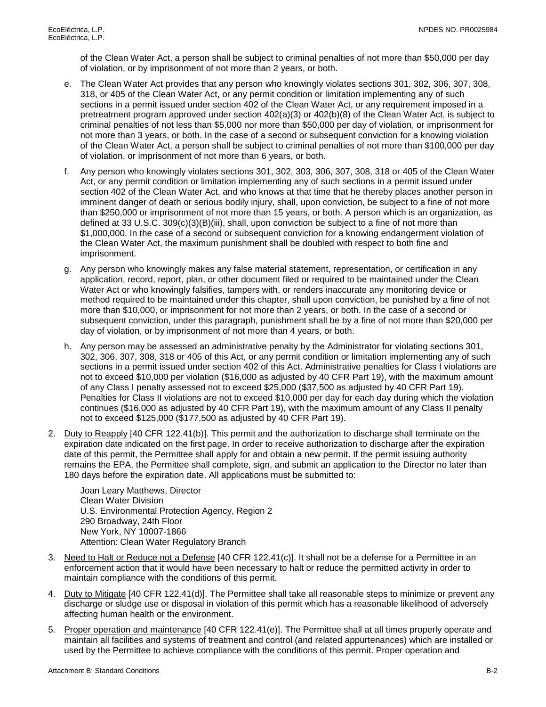of the Clean Water Act, a person shall be subject to criminal penalties of not more than \$50,000 per day of violation, or by imprisonment of not more than 2 years, or both.

- e. The Clean Water Act provides that any person who knowingly violates sections 301, 302, 306, 307, 308, 318, or 405 of the Clean Water Act, or any permit condition or limitation implementing any of such sections in a permit issued under section 402 of the Clean Water Act, or any requirement imposed in a pretreatment program approved under section 402(a)(3) or 402(b)(8) of the Clean Water Act, is subject to criminal penalties of not less than \$5,000 nor more than \$50,000 per day of violation, or imprisonment for not more than 3 years, or both. In the case of a second or subsequent conviction for a knowing violation of the Clean Water Act, a person shall be subject to criminal penalties of not more than \$100,000 per day of violation, or imprisonment of not more than 6 years, or both.
- f. Any person who knowingly violates sections 301, 302, 303, 306, 307, 308, 318 or 405 of the Clean Water Act, or any permit condition or limitation implementing any of such sections in a permit issued under section 402 of the Clean Water Act, and who knows at that time that he thereby places another person in imminent danger of death or serious bodily injury, shall, upon conviction, be subject to a fine of not more than \$250,000 or imprisonment of not more than 15 years, or both. A person which is an organization, as defined at 33 U.S.C. 309(c)(3)(B)(iii), shall, upon conviction be subject to a fine of not more than \$1,000,000. In the case of a second or subsequent conviction for a knowing endangerment violation of the Clean Water Act, the maximum punishment shall be doubled with respect to both fine and imprisonment.
- g. Any person who knowingly makes any false material statement, representation, or certification in any application, record, report, plan, or other document filed or required to be maintained under the Clean Water Act or who knowingly falsifies, tampers with, or renders inaccurate any monitoring device or method required to be maintained under this chapter, shall upon conviction, be punished by a fine of not more than \$10,000, or imprisonment for not more than 2 years, or both. In the case of a second or subsequent conviction, under this paragraph, punishment shall be by a fine of not more than \$20,000 per day of violation, or by imprisonment of not more than 4 years, or both.
- h. Any person may be assessed an administrative penalty by the Administrator for violating sections 301, 302, 306, 307, 308, 318 or 405 of this Act, or any permit condition or limitation implementing any of such sections in a permit issued under section 402 of this Act. Administrative penalties for Class I violations are not to exceed \$10,000 per violation (\$16,000 as adjusted by 40 CFR Part 19), with the maximum amount of any Class I penalty assessed not to exceed \$25,000 (\$37,500 as adjusted by 40 CFR Part 19). Penalties for Class II violations are not to exceed \$10,000 per day for each day during which the violation continues (\$16,000 as adjusted by 40 CFR Part 19), with the maximum amount of any Class II penalty not to exceed \$125,000 (\$177,500 as adjusted by 40 CFR Part 19).
- 2. Duty to Reapply [40 CFR 122.41(b)]. This permit and the authorization to discharge shall terminate on the expiration date indicated on the first page. In order to receive authorization to discharge after the expiration date of this permit, the Permittee shall apply for and obtain a new permit. If the permit issuing authority remains the EPA, the Permittee shall complete, sign, and submit an application to the Director no later than 180 days before the expiration date. All applications must be submitted to:

Joan Leary Matthews, Director Clean Water Division U.S. Environmental Protection Agency, Region 2 290 Broadway, 24th Floor New York, NY 10007-1866 Attention: Clean Water Regulatory Branch

- 3. Need to Halt or Reduce not a Defense [40 CFR 122.41(c)]. It shall not be a defense for a Permittee in an enforcement action that it would have been necessary to halt or reduce the permitted activity in order to maintain compliance with the conditions of this permit.
- 4. Duty to Mitigate [40 CFR 122.41(d)]. The Permittee shall take all reasonable steps to minimize or prevent any discharge or sludge use or disposal in violation of this permit which has a reasonable likelihood of adversely affecting human health or the environment.
- 5. Proper operation and maintenance [40 CFR 122.41(e)]. The Permittee shall at all times properly operate and maintain all facilities and systems of treatment and control (and related appurtenances) which are installed or used by the Permittee to achieve compliance with the conditions of this permit. Proper operation and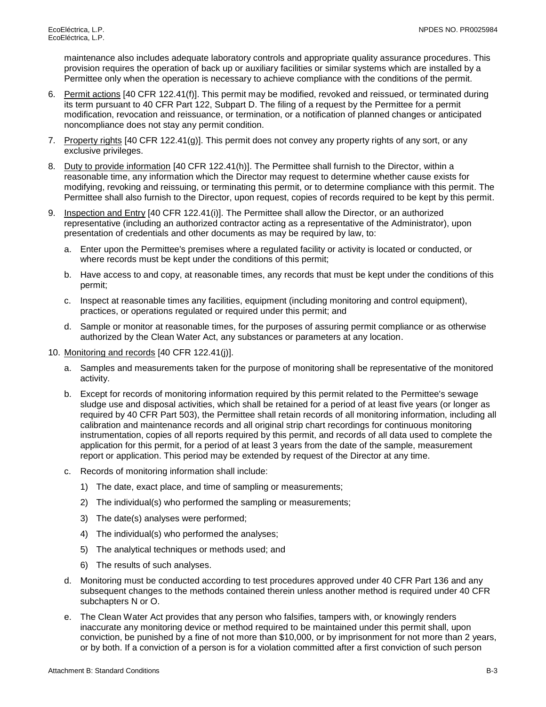maintenance also includes adequate laboratory controls and appropriate quality assurance procedures. This provision requires the operation of back up or auxiliary facilities or similar systems which are installed by a Permittee only when the operation is necessary to achieve compliance with the conditions of the permit.

- 6. Permit actions [40 CFR 122.41(f)]. This permit may be modified, revoked and reissued, or terminated during its term pursuant to 40 CFR Part 122, Subpart D. The filing of a request by the Permittee for a permit modification, revocation and reissuance, or termination, or a notification of planned changes or anticipated noncompliance does not stay any permit condition.
- 7. Property rights [40 CFR 122.41(g)]. This permit does not convey any property rights of any sort, or any exclusive privileges.
- 8. Duty to provide information [40 CFR 122.41(h)]. The Permittee shall furnish to the Director, within a reasonable time, any information which the Director may request to determine whether cause exists for modifying, revoking and reissuing, or terminating this permit, or to determine compliance with this permit. The Permittee shall also furnish to the Director, upon request, copies of records required to be kept by this permit.
- 9. Inspection and Entry [40 CFR 122.41(i)]. The Permittee shall allow the Director, or an authorized representative (including an authorized contractor acting as a representative of the Administrator), upon presentation of credentials and other documents as may be required by law, to:
	- a. Enter upon the Permittee's premises where a regulated facility or activity is located or conducted, or where records must be kept under the conditions of this permit;
	- b. Have access to and copy, at reasonable times, any records that must be kept under the conditions of this permit;
	- c. Inspect at reasonable times any facilities, equipment (including monitoring and control equipment), practices, or operations regulated or required under this permit; and
	- d. Sample or monitor at reasonable times, for the purposes of assuring permit compliance or as otherwise authorized by the Clean Water Act, any substances or parameters at any location.
- 10. Monitoring and records [40 CFR 122.41(j)].
	- a. Samples and measurements taken for the purpose of monitoring shall be representative of the monitored activity.
	- b. Except for records of monitoring information required by this permit related to the Permittee's sewage sludge use and disposal activities, which shall be retained for a period of at least five years (or longer as required by 40 CFR Part 503), the Permittee shall retain records of all monitoring information, including all calibration and maintenance records and all original strip chart recordings for continuous monitoring instrumentation, copies of all reports required by this permit, and records of all data used to complete the application for this permit, for a period of at least 3 years from the date of the sample, measurement report or application. This period may be extended by request of the Director at any time.
	- c. Records of monitoring information shall include:
		- 1) The date, exact place, and time of sampling or measurements;
		- 2) The individual(s) who performed the sampling or measurements;
		- 3) The date(s) analyses were performed;
		- 4) The individual(s) who performed the analyses;
		- 5) The analytical techniques or methods used; and
		- 6) The results of such analyses.
	- d. Monitoring must be conducted according to test procedures approved under 40 CFR Part 136 and any subsequent changes to the methods contained therein unless another method is required under 40 CFR subchapters N or O.
	- e. The Clean Water Act provides that any person who falsifies, tampers with, or knowingly renders inaccurate any monitoring device or method required to be maintained under this permit shall, upon conviction, be punished by a fine of not more than \$10,000, or by imprisonment for not more than 2 years, or by both. If a conviction of a person is for a violation committed after a first conviction of such person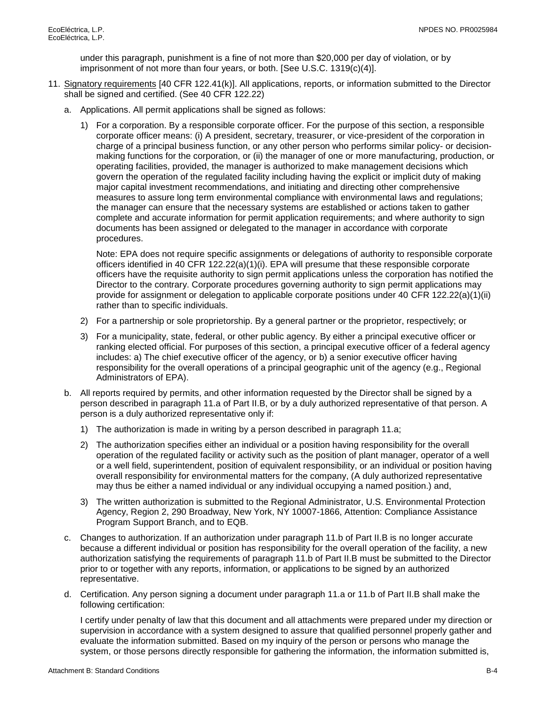under this paragraph, punishment is a fine of not more than \$20,000 per day of violation, or by imprisonment of not more than four years, or both. [See U.S.C. 1319(c)(4)].

- 11. Signatory requirements [40 CFR 122.41(k)]. All applications, reports, or information submitted to the Director shall be signed and certified. (See 40 CFR 122.22)
	- a. Applications. All permit applications shall be signed as follows:
		- 1) For a corporation. By a responsible corporate officer. For the purpose of this section, a responsible corporate officer means: (i) A president, secretary, treasurer, or vice-president of the corporation in charge of a principal business function, or any other person who performs similar policy- or decisionmaking functions for the corporation, or (ii) the manager of one or more manufacturing, production, or operating facilities, provided, the manager is authorized to make management decisions which govern the operation of the regulated facility including having the explicit or implicit duty of making major capital investment recommendations, and initiating and directing other comprehensive measures to assure long term environmental compliance with environmental laws and regulations; the manager can ensure that the necessary systems are established or actions taken to gather complete and accurate information for permit application requirements; and where authority to sign documents has been assigned or delegated to the manager in accordance with corporate procedures.

Note: EPA does not require specific assignments or delegations of authority to responsible corporate officers identified in 40 CFR 122.22(a)(1)(i). EPA will presume that these responsible corporate officers have the requisite authority to sign permit applications unless the corporation has notified the Director to the contrary. Corporate procedures governing authority to sign permit applications may provide for assignment or delegation to applicable corporate positions under 40 CFR 122.22(a)(1)(ii) rather than to specific individuals.

- 2) For a partnership or sole proprietorship. By a general partner or the proprietor, respectively; or
- 3) For a municipality, state, federal, or other public agency. By either a principal executive officer or ranking elected official. For purposes of this section, a principal executive officer of a federal agency includes: a) The chief executive officer of the agency, or b) a senior executive officer having responsibility for the overall operations of a principal geographic unit of the agency (e.g., Regional Administrators of EPA).
- b. All reports required by permits, and other information requested by the Director shall be signed by a person described in paragraph 11.a of Part II.B, or by a duly authorized representative of that person. A person is a duly authorized representative only if:
	- 1) The authorization is made in writing by a person described in paragraph 11.a;
	- 2) The authorization specifies either an individual or a position having responsibility for the overall operation of the regulated facility or activity such as the position of plant manager, operator of a well or a well field, superintendent, position of equivalent responsibility, or an individual or position having overall responsibility for environmental matters for the company, (A duly authorized representative may thus be either a named individual or any individual occupying a named position.) and,
	- 3) The written authorization is submitted to the Regional Administrator, U.S. Environmental Protection Agency, Region 2, 290 Broadway, New York, NY 10007-1866, Attention: Compliance Assistance Program Support Branch, and to EQB.
- c. Changes to authorization. If an authorization under paragraph 11.b of Part II.B is no longer accurate because a different individual or position has responsibility for the overall operation of the facility, a new authorization satisfying the requirements of paragraph 11.b of Part II.B must be submitted to the Director prior to or together with any reports, information, or applications to be signed by an authorized representative.
- d. Certification. Any person signing a document under paragraph 11.a or 11.b of Part II.B shall make the following certification:

I certify under penalty of law that this document and all attachments were prepared under my direction or supervision in accordance with a system designed to assure that qualified personnel properly gather and evaluate the information submitted. Based on my inquiry of the person or persons who manage the system, or those persons directly responsible for gathering the information, the information submitted is,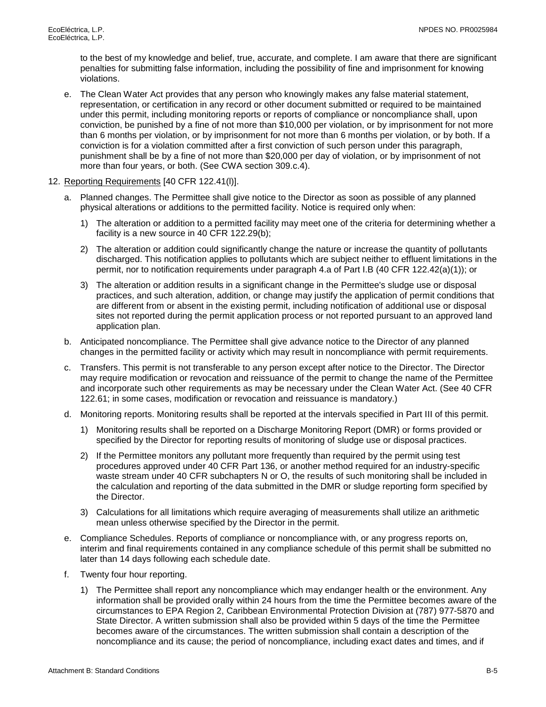to the best of my knowledge and belief, true, accurate, and complete. I am aware that there are significant penalties for submitting false information, including the possibility of fine and imprisonment for knowing violations.

- e. The Clean Water Act provides that any person who knowingly makes any false material statement, representation, or certification in any record or other document submitted or required to be maintained under this permit, including monitoring reports or reports of compliance or noncompliance shall, upon conviction, be punished by a fine of not more than \$10,000 per violation, or by imprisonment for not more than 6 months per violation, or by imprisonment for not more than 6 months per violation, or by both. If a conviction is for a violation committed after a first conviction of such person under this paragraph, punishment shall be by a fine of not more than \$20,000 per day of violation, or by imprisonment of not more than four years, or both. (See CWA section 309.c.4).
- 12. Reporting Requirements [40 CFR 122.41(l)].
	- a. Planned changes. The Permittee shall give notice to the Director as soon as possible of any planned physical alterations or additions to the permitted facility. Notice is required only when:
		- 1) The alteration or addition to a permitted facility may meet one of the criteria for determining whether a facility is a new source in 40 CFR 122.29(b);
		- 2) The alteration or addition could significantly change the nature or increase the quantity of pollutants discharged. This notification applies to pollutants which are subject neither to effluent limitations in the permit, nor to notification requirements under paragraph 4.a of Part I.B (40 CFR 122.42(a)(1)); or
		- 3) The alteration or addition results in a significant change in the Permittee's sludge use or disposal practices, and such alteration, addition, or change may justify the application of permit conditions that are different from or absent in the existing permit, including notification of additional use or disposal sites not reported during the permit application process or not reported pursuant to an approved land application plan.
	- b. Anticipated noncompliance. The Permittee shall give advance notice to the Director of any planned changes in the permitted facility or activity which may result in noncompliance with permit requirements.
	- c. Transfers. This permit is not transferable to any person except after notice to the Director. The Director may require modification or revocation and reissuance of the permit to change the name of the Permittee and incorporate such other requirements as may be necessary under the Clean Water Act. (See 40 CFR 122.61; in some cases, modification or revocation and reissuance is mandatory.)
	- d. Monitoring reports. Monitoring results shall be reported at the intervals specified in Part III of this permit.
		- 1) Monitoring results shall be reported on a Discharge Monitoring Report (DMR) or forms provided or specified by the Director for reporting results of monitoring of sludge use or disposal practices.
		- 2) If the Permittee monitors any pollutant more frequently than required by the permit using test procedures approved under 40 CFR Part 136, or another method required for an industry-specific waste stream under 40 CFR subchapters N or O, the results of such monitoring shall be included in the calculation and reporting of the data submitted in the DMR or sludge reporting form specified by the Director.
		- 3) Calculations for all limitations which require averaging of measurements shall utilize an arithmetic mean unless otherwise specified by the Director in the permit.
	- e. Compliance Schedules. Reports of compliance or noncompliance with, or any progress reports on, interim and final requirements contained in any compliance schedule of this permit shall be submitted no later than 14 days following each schedule date.
	- f. Twenty four hour reporting.
		- 1) The Permittee shall report any noncompliance which may endanger health or the environment. Any information shall be provided orally within 24 hours from the time the Permittee becomes aware of the circumstances to EPA Region 2, Caribbean Environmental Protection Division at (787) 977-5870 and State Director. A written submission shall also be provided within 5 days of the time the Permittee becomes aware of the circumstances. The written submission shall contain a description of the noncompliance and its cause; the period of noncompliance, including exact dates and times, and if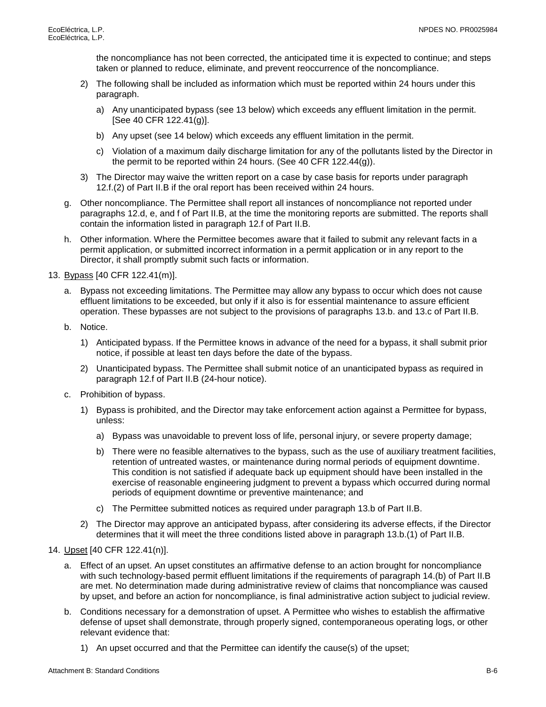the noncompliance has not been corrected, the anticipated time it is expected to continue; and steps taken or planned to reduce, eliminate, and prevent reoccurrence of the noncompliance.

- 2) The following shall be included as information which must be reported within 24 hours under this paragraph.
	- a) Any unanticipated bypass (see 13 below) which exceeds any effluent limitation in the permit. [See 40 CFR 122.41(g)].
	- b) Any upset (see 14 below) which exceeds any effluent limitation in the permit.
	- c) Violation of a maximum daily discharge limitation for any of the pollutants listed by the Director in the permit to be reported within 24 hours. (See 40 CFR 122.44(g)).
- 3) The Director may waive the written report on a case by case basis for reports under paragraph 12.f.(2) of Part II.B if the oral report has been received within 24 hours.
- g. Other noncompliance. The Permittee shall report all instances of noncompliance not reported under paragraphs 12.d, e, and f of Part II.B, at the time the monitoring reports are submitted. The reports shall contain the information listed in paragraph 12.f of Part II.B.
- h. Other information. Where the Permittee becomes aware that it failed to submit any relevant facts in a permit application, or submitted incorrect information in a permit application or in any report to the Director, it shall promptly submit such facts or information.

13. Bypass [40 CFR 122.41(m)].

- a. Bypass not exceeding limitations. The Permittee may allow any bypass to occur which does not cause effluent limitations to be exceeded, but only if it also is for essential maintenance to assure efficient operation. These bypasses are not subject to the provisions of paragraphs 13.b. and 13.c of Part II.B.
- b. Notice.
	- 1) Anticipated bypass. If the Permittee knows in advance of the need for a bypass, it shall submit prior notice, if possible at least ten days before the date of the bypass.
	- 2) Unanticipated bypass. The Permittee shall submit notice of an unanticipated bypass as required in paragraph 12.f of Part II.B (24-hour notice).
- c. Prohibition of bypass.
	- 1) Bypass is prohibited, and the Director may take enforcement action against a Permittee for bypass, unless:
		- a) Bypass was unavoidable to prevent loss of life, personal injury, or severe property damage;
		- b) There were no feasible alternatives to the bypass, such as the use of auxiliary treatment facilities, retention of untreated wastes, or maintenance during normal periods of equipment downtime. This condition is not satisfied if adequate back up equipment should have been installed in the exercise of reasonable engineering judgment to prevent a bypass which occurred during normal periods of equipment downtime or preventive maintenance; and
		- c) The Permittee submitted notices as required under paragraph 13.b of Part II.B.
	- 2) The Director may approve an anticipated bypass, after considering its adverse effects, if the Director determines that it will meet the three conditions listed above in paragraph 13.b.(1) of Part II.B.

### 14. Upset [40 CFR 122.41(n)].

- a. Effect of an upset. An upset constitutes an affirmative defense to an action brought for noncompliance with such technology-based permit effluent limitations if the requirements of paragraph 14.(b) of Part II.B are met. No determination made during administrative review of claims that noncompliance was caused by upset, and before an action for noncompliance, is final administrative action subject to judicial review.
- b. Conditions necessary for a demonstration of upset. A Permittee who wishes to establish the affirmative defense of upset shall demonstrate, through properly signed, contemporaneous operating logs, or other relevant evidence that:
	- 1) An upset occurred and that the Permittee can identify the cause(s) of the upset;